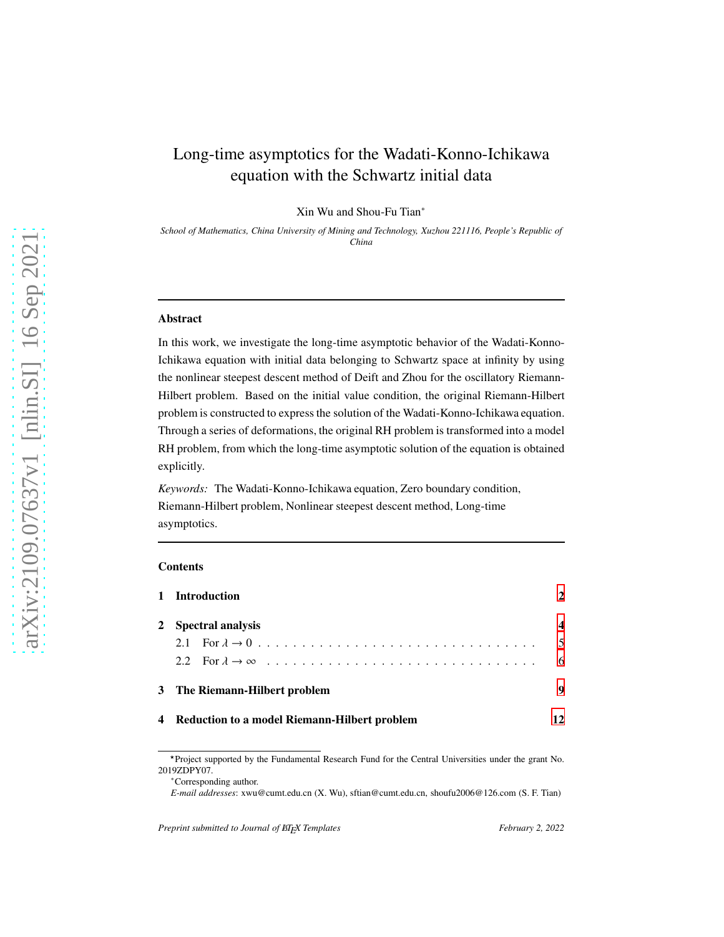# Long-time asymptotics for the Wadati-Konno-Ichikawa equation with the Schwartz initial data

Xin Wu and Shou-Fu Tian∗

*School of Mathematics, China University of Mining and Technology, Xuzhou 221116, People's Republic of China*

#### Abstract

In this work, we investigate the long-time asymptotic behavior of the Wadati-Konno-Ichikawa equation with initial data belonging to Schwartz space at infinity by using the nonlinear steepest descent method of Deift and Zhou for the oscillatory Riemann-Hilbert problem. Based on the initial value condition, the original Riemann-Hilbert problem is constructed to express the solution of the Wadati-Konno-Ichikawa equation. Through a series of deformations, the original RH problem is transformed into a model RH problem, from which the long-time asymptotic solution of the equation is obtained explicitly.

*Keywords:* The Wadati-Konno-Ichikawa equation, Zero boundary condition, Riemann-Hilbert problem, Nonlinear steepest descent method, Long-time asymptotics.

#### **Contents**

| 1 Introduction                                 |    |
|------------------------------------------------|----|
| 2 Spectral analysis                            |    |
|                                                | .5 |
|                                                | -6 |
| 3 The Riemann-Hilbert problem                  | 9  |
| 4 Reduction to a model Riemann-Hilbert problem |    |

<sup>⋆</sup>Project supported by the Fundamental Research Fund for the Central Universities under the grant No. 2019ZDPY07.

<sup>∗</sup>Corresponding author.

*E-mail addresses*: xwu@cumt.edu.cn (X. Wu), sftian@cumt.edu.cn, shoufu2006@126.com (S. F. Tian)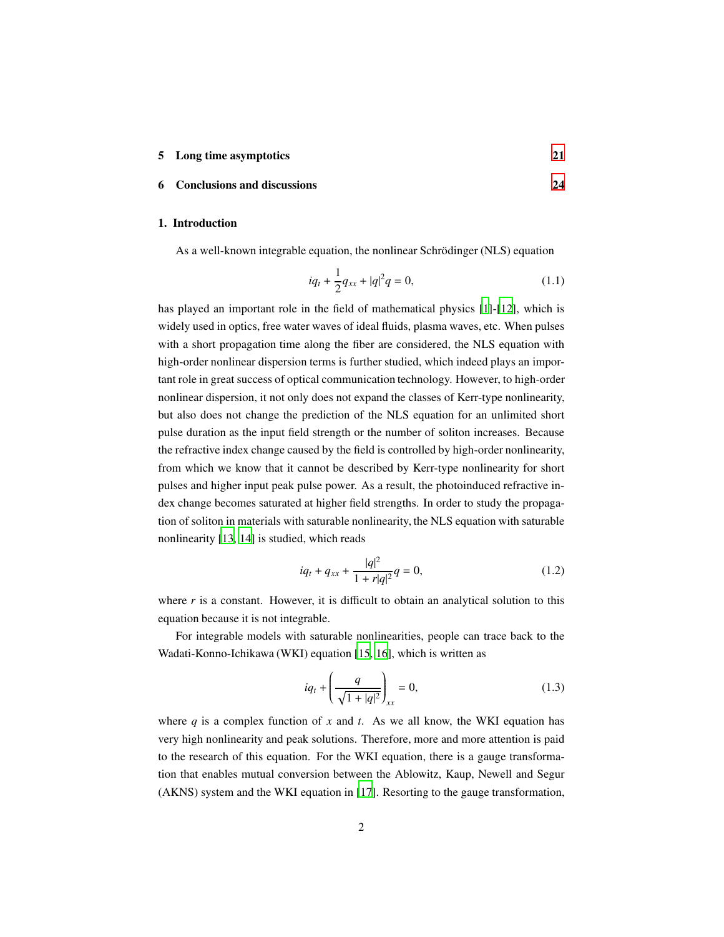#### 5 Long time asymptotics [21](#page-20-0)

## <span id="page-1-0"></span>6 Conclusions and discussions [24](#page-23-0)

## 1. Introduction

As a well-known integrable equation, the nonlinear Schrödinger (NLS) equation

$$
iq_t + \frac{1}{2}q_{xx} + |q|^2 q = 0,
$$
\n(1.1)

has played an important role in the field of mathematical physics [\[1\]](#page-24-0)-[\[12\]](#page-25-0), which is widely used in optics, free water waves of ideal fluids, plasma waves, etc. When pulses with a short propagation time along the fiber are considered, the NLS equation with high-order nonlinear dispersion terms is further studied, which indeed plays an important role in great success of optical communication technology. However, to high-order nonlinear dispersion, it not only does not expand the classes of Kerr-type nonlinearity, but also does not change the prediction of the NLS equation for an unlimited short pulse duration as the input field strength or the number of soliton increases. Because the refractive index change caused by the field is controlled by high-order nonlinearity, from which we know that it cannot be described by Kerr-type nonlinearity for short pulses and higher input peak pulse power. As a result, the photoinduced refractive index change becomes saturated at higher field strengths. In order to study the propagation of soliton in materials with saturable nonlinearity, the NLS equation with saturable nonlinearity [\[13,](#page-25-1) [14\]](#page-25-2) is studied, which reads

$$
iq_t + q_{xx} + \frac{|q|^2}{1 + r|q|^2}q = 0,
$$
\n(1.2)

where  $r$  is a constant. However, it is difficult to obtain an analytical solution to this equation because it is not integrable.

For integrable models with saturable nonlinearities, people can trace back to the Wadati-Konno-Ichikawa (WKI) equation [\[15](#page-25-3), [16\]](#page-25-4), which is written as

<span id="page-1-1"></span>
$$
iq_t + \left(\frac{q}{\sqrt{1+|q|^2}}\right)_{xx} = 0,
$$
\n(1.3)

where  $q$  is a complex function of  $x$  and  $t$ . As we all know, the WKI equation has very high nonlinearity and peak solutions. Therefore, more and more attention is paid to the research of this equation. For the WKI equation, there is a gauge transformation that enables mutual conversion between the Ablowitz, Kaup, Newell and Segur (AKNS) system and the WKI equation in [\[17\]](#page-25-5). Resorting to the gauge transformation,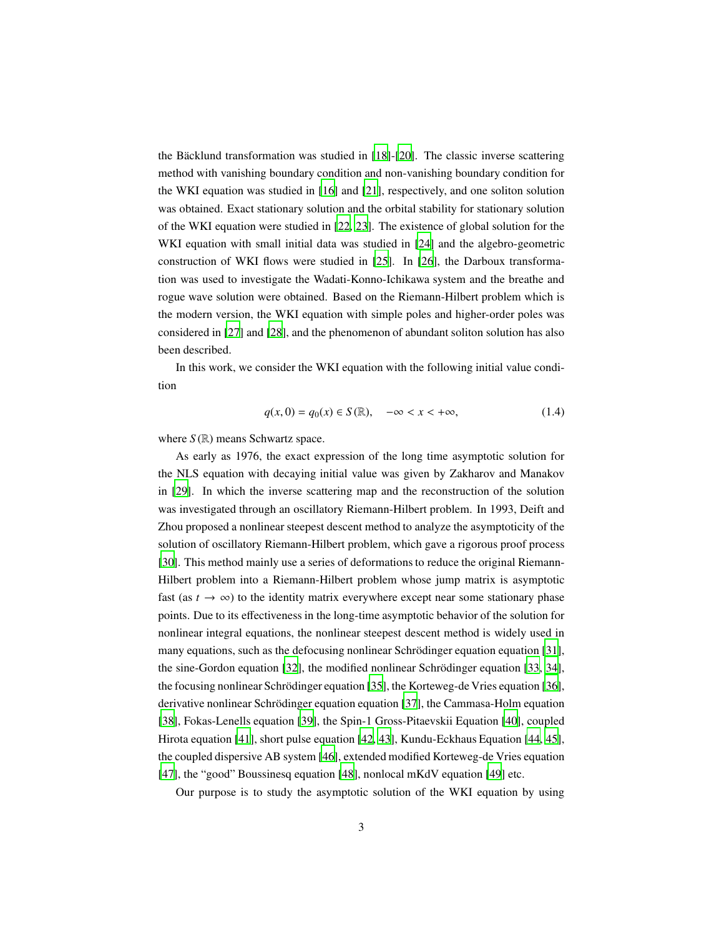the Bäcklund transformation was studied in [\[18\]](#page-25-6)-[\[20\]](#page-25-7). The classic inverse scattering method with vanishing boundary condition and non-vanishing boundary condition for the WKI equation was studied in [\[16\]](#page-25-4) and [\[21\]](#page-25-8), respectively, and one soliton solution was obtained. Exact stationary solution and the orbital stability for stationary solution of the WKI equation were studied in [\[22,](#page-25-9) [23](#page-25-10)]. The existence of global solution for the WKI equation with small initial data was studied in [\[24\]](#page-26-0) and the algebro-geometric construction of WKI flows were studied in [\[25](#page-26-1)]. In [\[26\]](#page-26-2), the Darboux transformation was used to investigate the Wadati-Konno-Ichikawa system and the breathe and rogue wave solution were obtained. Based on the Riemann-Hilbert problem which is the modern version, the WKI equation with simple poles and higher-order poles was considered in [\[27\]](#page-26-3) and [\[28\]](#page-26-4), and the phenomenon of abundant soliton solution has also been described.

In this work, we consider the WKI equation with the following initial value condition

<span id="page-2-0"></span>
$$
q(x,0) = q_0(x) \in S(\mathbb{R}), \quad -\infty < x < +\infty,\tag{1.4}
$$

where  $S(\mathbb{R})$  means Schwartz space.

As early as 1976, the exact expression of the long time asymptotic solution for the NLS equation with decaying initial value was given by Zakharov and Manakov in [\[29\]](#page-26-5). In which the inverse scattering map and the reconstruction of the solution was investigated through an oscillatory Riemann-Hilbert problem. In 1993, Deift and Zhou proposed a nonlinear steepest descent method to analyze the asymptoticity of the solution of oscillatory Riemann-Hilbert problem, which gave a rigorous proof process [\[30](#page-26-6)]. This method mainly use a series of deformations to reduce the original Riemann-Hilbert problem into a Riemann-Hilbert problem whose jump matrix is asymptotic fast (as  $t \to \infty$ ) to the identity matrix everywhere except near some stationary phase points. Due to its effectiveness in the long-time asymptotic behavior of the solution for nonlinear integral equations, the nonlinear steepest descent method is widely used in many equations, such as the defocusing nonlinear Schrödinger equation equation [\[31\]](#page-26-7), the sine-Gordon equation  $[32]$ , the modified nonlinear Schrödinger equation  $[33, 34]$  $[33, 34]$ , the focusing nonlinear Schrödinger equation [\[35\]](#page-27-0), the Korteweg-de Vries equation [\[36\]](#page-27-1), derivative nonlinear Schrödinger equation equation [\[37\]](#page-27-2), the Cammasa-Holm equation [\[38\]](#page-27-3), Fokas-Lenells equation [\[39\]](#page-27-4), the Spin-1 Gross-Pitaevskii Equation [\[40\]](#page-27-5), coupled Hirota equation [\[41\]](#page-27-6), short pulse equation [\[42,](#page-27-7) [43\]](#page-27-8), Kundu-Eckhaus Equation [\[44,](#page-27-9) [45\]](#page-27-10), the coupled dispersive AB system [\[46\]](#page-27-11), extended modified Korteweg-de Vries equation [\[47\]](#page-28-0), the "good" Boussinesq equation [\[48](#page-28-1)], nonlocal mKdV equation [\[49](#page-28-2)] etc.

Our purpose is to study the asymptotic solution of the WKI equation by using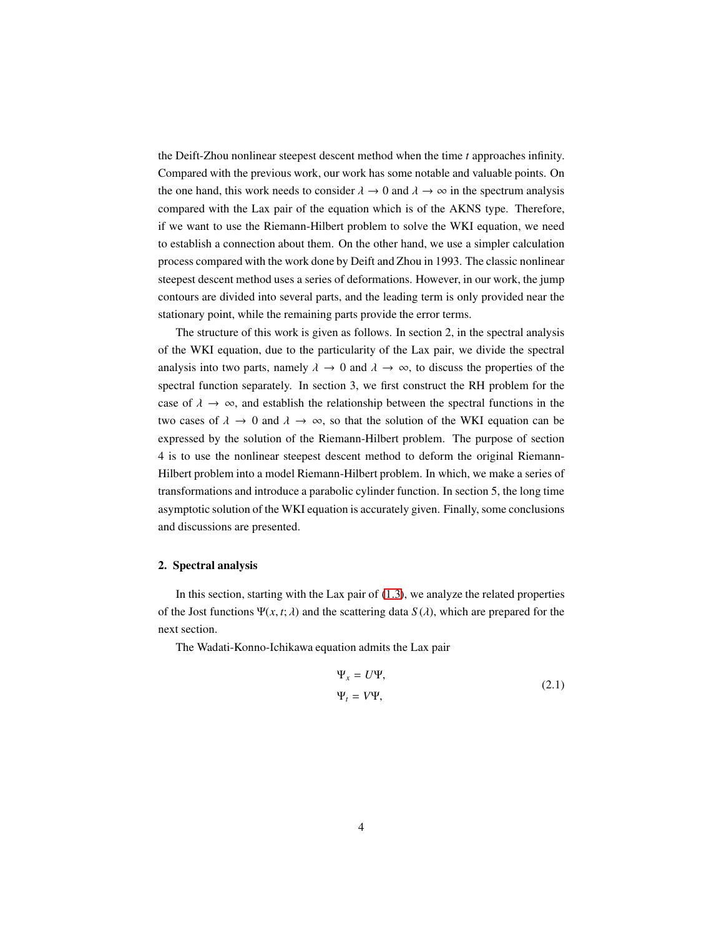the Deift-Zhou nonlinear steepest descent method when the time *t* approaches infinity. Compared with the previous work, our work has some notable and valuable points. On the one hand, this work needs to consider  $\lambda \to 0$  and  $\lambda \to \infty$  in the spectrum analysis compared with the Lax pair of the equation which is of the AKNS type. Therefore, if we want to use the Riemann-Hilbert problem to solve the WKI equation, we need to establish a connection about them. On the other hand, we use a simpler calculation process compared with the work done by Deift and Zhou in 1993. The classic nonlinear steepest descent method uses a series of deformations. However, in our work, the jump contours are divided into several parts, and the leading term is only provided near the stationary point, while the remaining parts provide the error terms.

The structure of this work is given as follows. In section 2, in the spectral analysis of the WKI equation, due to the particularity of the Lax pair, we divide the spectral analysis into two parts, namely  $\lambda \to 0$  and  $\lambda \to \infty$ , to discuss the properties of the spectral function separately. In section 3, we first construct the RH problem for the case of  $\lambda \to \infty$ , and establish the relationship between the spectral functions in the two cases of  $\lambda \to 0$  and  $\lambda \to \infty$ , so that the solution of the WKI equation can be expressed by the solution of the Riemann-Hilbert problem. The purpose of section 4 is to use the nonlinear steepest descent method to deform the original Riemann-Hilbert problem into a model Riemann-Hilbert problem. In which, we make a series of transformations and introduce a parabolic cylinder function. In section 5, the long time asymptotic solution of the WKI equation is accurately given. Finally, some conclusions and discussions are presented.

#### <span id="page-3-0"></span>2. Spectral analysis

In this section, starting with the Lax pair of  $(1.3)$ , we analyze the related properties of the Jost functions  $\Psi(x, t; \lambda)$  and the scattering data  $S(\lambda)$ , which are prepared for the next section.

The Wadati-Konno-Ichikawa equation admits the Lax pair

<span id="page-3-1"></span>
$$
\Psi_x = U\Psi,
$$
  
\n
$$
\Psi_t = V\Psi,
$$
\n(2.1)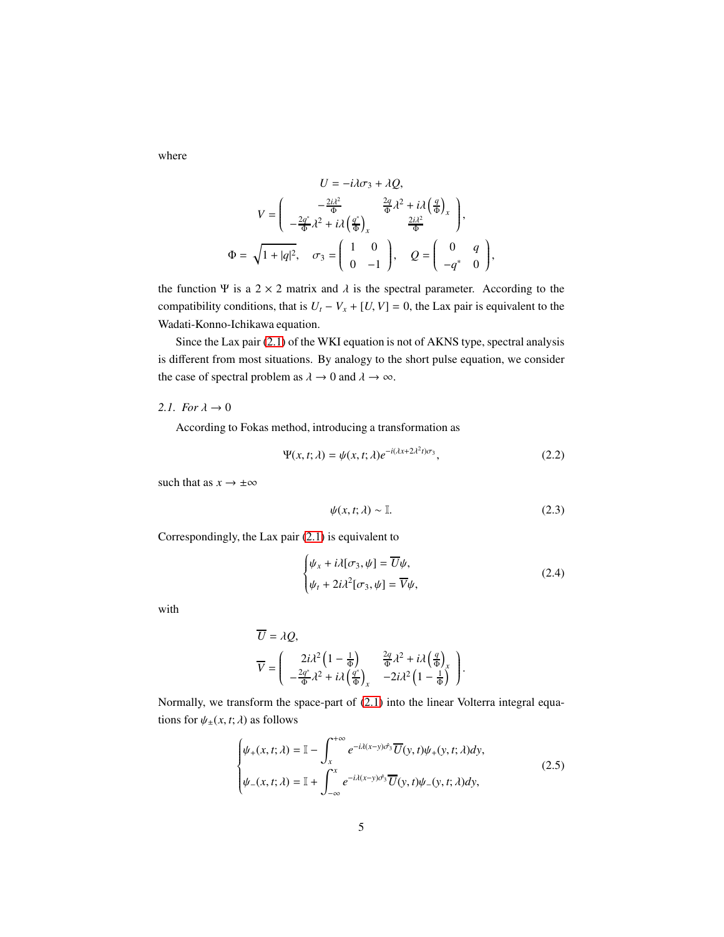where

$$
U = -i\lambda\sigma_3 + \lambda Q,
$$
  
\n
$$
V = \begin{pmatrix} -\frac{2i\lambda^2}{\Phi} & \frac{2q}{\Phi}\lambda^2 + i\lambda \left(\frac{q}{\Phi}\right)_x \\ -\frac{2q^*}{\Phi}\lambda^2 + i\lambda \left(\frac{q^*}{\Phi}\right)_x & \frac{2i\lambda^2}{\Phi} \end{pmatrix},
$$
  
\n
$$
\Phi = \sqrt{1 + |q|^2}, \quad \sigma_3 = \begin{pmatrix} 1 & 0 \\ 0 & -1 \end{pmatrix}, \quad Q = \begin{pmatrix} 0 & q \\ -q^* & 0 \end{pmatrix},
$$

the function Ψ is a 2 × 2 matrix and  $\lambda$  is the spectral parameter. According to the compatibility conditions, that is  $U_t - V_x + [U, V] = 0$ , the Lax pair is equivalent to the Wadati-Konno-Ichikawa equation.

Since the Lax pair [\(2.1\)](#page-3-1) of the WKI equation is not of AKNS type, spectral analysis is different from most situations. By analogy to the short pulse equation, we consider the case of spectral problem as  $\lambda \to 0$  and  $\lambda \to \infty$ .

## <span id="page-4-0"></span>2.1. For  $\lambda \to 0$

According to Fokas method, introducing a transformation as

$$
\Psi(x,t;\lambda) = \psi(x,t;\lambda)e^{-i(\lambda x + 2\lambda^2 t)\sigma_3},\tag{2.2}
$$

such that as  $x \to \pm \infty$ 

$$
\psi(x,t;\lambda) \sim \mathbb{I}.\tag{2.3}
$$

Correspondingly, the Lax pair [\(2.1\)](#page-3-1) is equivalent to

$$
\begin{cases} \psi_x + i\lambda[\sigma_3, \psi] = \overline{U}\psi, \\ \psi_t + 2i\lambda^2[\sigma_3, \psi] = \overline{V}\psi, \end{cases}
$$
 (2.4)

with

$$
\overline{U} = \lambda Q,
$$
\n
$$
\overline{V} = \begin{pmatrix}\n2i\lambda^2 \left(1 - \frac{1}{\Phi}\right) & \frac{2q}{\Phi} \lambda^2 + i\lambda \left(\frac{q}{\Phi}\right)_x \\
-\frac{2q^*}{\Phi} \lambda^2 + i\lambda \left(\frac{q^*}{\Phi}\right)_x & -2i\lambda^2 \left(1 - \frac{1}{\Phi}\right)\n\end{pmatrix}.
$$

Normally, we transform the space-part of [\(2.1\)](#page-3-1) into the linear Volterra integral equations for  $\psi_{\pm}(x, t; \lambda)$  as follows

$$
\begin{cases}\n\psi_{+}(x,t;\lambda) = \mathbb{I} - \int_{x}^{+\infty} e^{-i\lambda(x-y)\hat{\sigma}_{3}} \overline{U}(y,t)\psi_{+}(y,t;\lambda)dy, \\
\psi_{-}(x,t;\lambda) = \mathbb{I} + \int_{-\infty}^{x} e^{-i\lambda(x-y)\hat{\sigma}_{3}} \overline{U}(y,t)\psi_{-}(y,t;\lambda)dy,\n\end{cases}
$$
\n(2.5)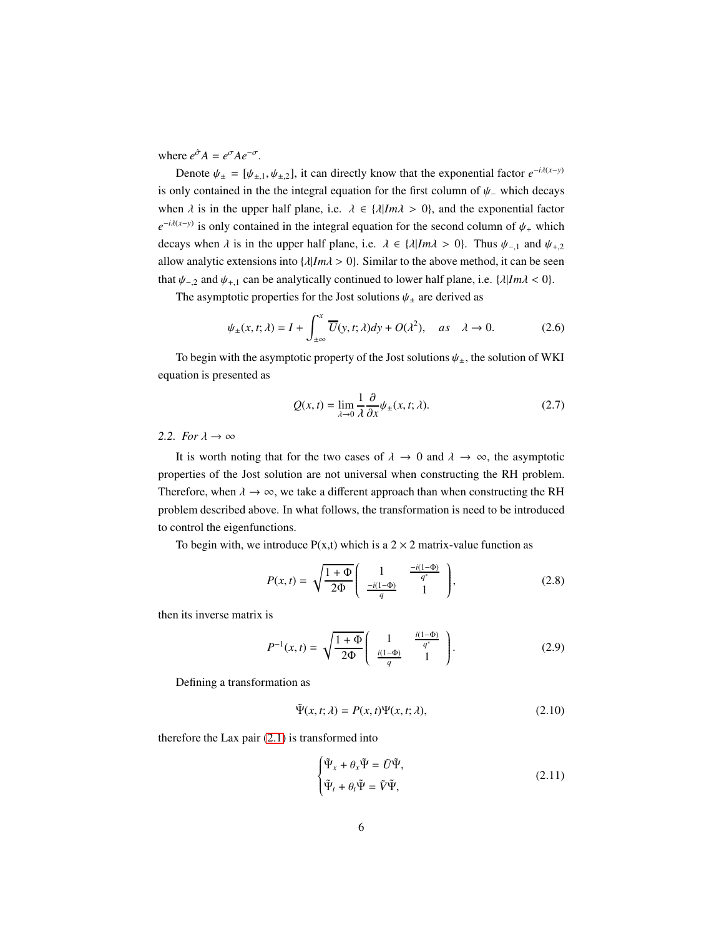where  $e^{\hat{\sigma}} A = e^{\sigma} A e^{-\sigma}$ .

Denote  $\psi_{\pm} = [\psi_{\pm,1}, \psi_{\pm,2}]$ , it can directly know that the exponential factor  $e^{-i\lambda(x-y)}$ is only contained in the the integral equation for the first column of  $\psi$ <sub>−</sub> which decays when  $\lambda$  is in the upper half plane, i.e.  $\lambda \in {\lambda | Im \lambda > 0}$ , and the exponential factor  $e^{-i\lambda(x-y)}$  is only contained in the integral equation for the second column of  $\psi$  + which decays when  $\lambda$  is in the upper half plane, i.e.  $\lambda \in \{\lambda | Im \lambda > 0\}$ . Thus  $\psi_{-,1}$  and  $\psi_{+,2}$ allow analytic extensions into  $\{\lambda | Im\lambda > 0\}$ . Similar to the above method, it can be seen that  $\psi_{-,2}$  and  $\psi_{+,1}$  can be analytically continued to lower half plane, i.e. { $\lambda |Im \lambda < 0$ }.

The asymptotic properties for the Jost solutions  $\psi_{\pm}$  are derived as

$$
\psi_{\pm}(x,t;\lambda) = I + \int_{\pm\infty}^{x} \overline{U}(y,t;\lambda)dy + O(\lambda^{2}), \quad as \quad \lambda \to 0.
$$
 (2.6)

To begin with the asymptotic property of the Jost solutions  $\psi_{\pm}$ , the solution of WKI equation is presented as

$$
Q(x,t) = \lim_{\lambda \to 0} \frac{1}{\lambda} \frac{\partial}{\partial x} \psi_{\pm}(x,t;\lambda).
$$
 (2.7)

## <span id="page-5-0"></span>2.2. For  $\lambda \to \infty$

It is worth noting that for the two cases of  $\lambda \to 0$  and  $\lambda \to \infty$ , the asymptotic properties of the Jost solution are not universal when constructing the RH problem. Therefore, when  $\lambda \to \infty$ , we take a different approach than when constructing the RH problem described above. In what follows, the transformation is need to be introduced to control the eigenfunctions.

To begin with, we introduce  $P(x,t)$  which is a 2  $\times$  2 matrix-value function as

$$
P(x,t) = \sqrt{\frac{1+\Phi}{2\Phi}} \left( \begin{array}{cc} 1 & \frac{-i(1-\Phi)}{q^*} \\ \frac{-i(1-\Phi)}{q} & 1 \end{array} \right),
$$
 (2.8)

then its inverse matrix is

$$
P^{-1}(x,t) = \sqrt{\frac{1+\Phi}{2\Phi}} \left( \begin{array}{cc} 1 & \frac{i(1-\Phi)}{q^*} \\ \frac{i(1-\Phi)}{q} & 1 \end{array} \right). \tag{2.9}
$$

Defining a transformation as

$$
\tilde{\Psi}(x,t;\lambda) = P(x,t)\Psi(x,t;\lambda),\tag{2.10}
$$

therefore the Lax pair [\(2.1\)](#page-3-1) is transformed into

<span id="page-5-1"></span>
$$
\begin{cases} \tilde{\Psi}_x + \theta_x \tilde{\Psi} = \tilde{U} \tilde{\Psi}, \\ \tilde{\Psi}_t + \theta_t \tilde{\Psi} = \tilde{V} \tilde{\Psi}, \end{cases}
$$
\n(2.11)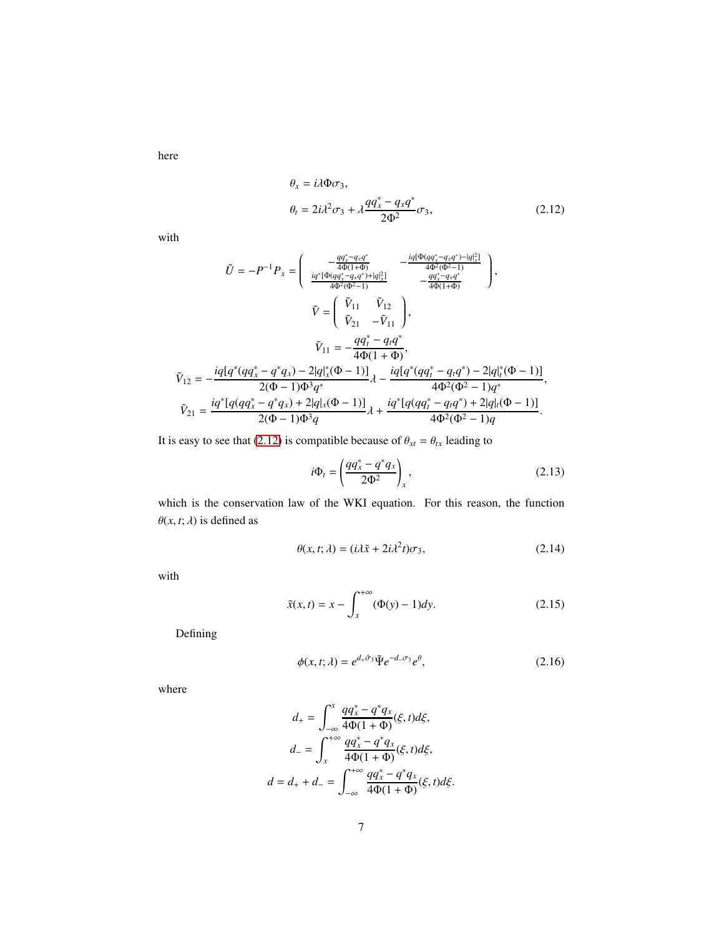here

<span id="page-6-0"></span>
$$
\theta_x = i\lambda \Phi \sigma_3,
$$
  
\n
$$
\theta_t = 2i\lambda^2 \sigma_3 + \lambda \frac{qq_x^* - q_x q^*}{2\Phi^2} \sigma_3,
$$
\n(2.12)

with

$$
\tilde{U} = -P^{-1}P_{x} = \begin{pmatrix}\n-\frac{qq_{x}^{*} - q_{x}q^{*}}{4\Phi(1+\Phi)} & -\frac{iq[\Phi(qq_{x}^{*} - q_{x}q^{*}) - |q]_{x}^{2}]}{4\Phi^{2}(\Phi^{2} - 1)} \\
\frac{iq^{*}[\Phi(qq_{x}^{*} - q_{x}q^{*}) + |q]_{x}^{2}]}{4\Phi^{2}(\Phi^{2} - 1)} & -\frac{qq_{x}^{*} - q_{x}q^{*}}{4\Phi(1+\Phi)}\n\end{pmatrix},
$$
\n
$$
\tilde{V} = \begin{pmatrix}\n\tilde{V}_{11} & \tilde{V}_{12} \\
\tilde{V}_{21} & -\tilde{V}_{11}\n\end{pmatrix},
$$
\n
$$
\tilde{V}_{12} = -\frac{iq[q^{*}(qq_{x}^{*} - q^{*}q_{x}) - 2|q]_{x}^{*}(\Phi - 1)]}{2(\Phi - 1)\Phi^{3}q^{*}}\lambda - \frac{iq[q^{*}(qq_{t}^{*} - q_{t}q^{*}) - 2|q]_{t}^{*}(\Phi - 1)]}{4\Phi^{2}(\Phi^{2} - 1)q^{*}},
$$
\n
$$
\tilde{V}_{21} = \frac{iq^{*}[q(qq_{x}^{*} - q^{*}q_{x}) + 2|q]_{x}(\Phi - 1)]}{2(\Phi - 1)\Phi^{3}q}\lambda + \frac{iq^{*}[q(qq_{t}^{*} - q_{t}q^{*}) + 2|q]_{t}(\Phi - 1)]}{4\Phi^{2}(\Phi^{2} - 1)q}.
$$

It is easy to see that [\(2.12\)](#page-6-0) is compatible because of  $\theta_{xt} = \theta_{tx}$  leading to

$$
i\Phi_t = \left(\frac{qq_x^* - q^*q_x}{2\Phi^2}\right)_x,\tag{2.13}
$$

which is the conservation law of the WKI equation. For this reason, the function  $\theta(x, t; \lambda)$  is defined as

$$
\theta(x, t; \lambda) = (i\lambda \tilde{x} + 2i\lambda^2 t)\sigma_3,\tag{2.14}
$$

with

$$
\tilde{x}(x,t) = x - \int_{x}^{+\infty} (\Phi(y) - 1) dy.
$$
 (2.15)

Defining

$$
\phi(x, t; \lambda) = e^{d_+ \hat{\sigma}_3} \tilde{\Psi} e^{-d_- \sigma_3} e^{\theta}, \qquad (2.16)
$$

where

$$
d_{+} = \int_{-\infty}^{x} \frac{qq_{x}^{*} - q^{*}q_{x}}{4\Phi(1 + \Phi)}(\xi, t)d\xi,
$$
  

$$
d_{-} = \int_{x}^{+\infty} \frac{qq_{x}^{*} - q^{*}q_{x}}{4\Phi(1 + \Phi)}(\xi, t)d\xi,
$$
  

$$
d = d_{+} + d_{-} = \int_{-\infty}^{+\infty} \frac{qq_{x}^{*} - q^{*}q_{x}}{4\Phi(1 + \Phi)}(\xi, t)d\xi.
$$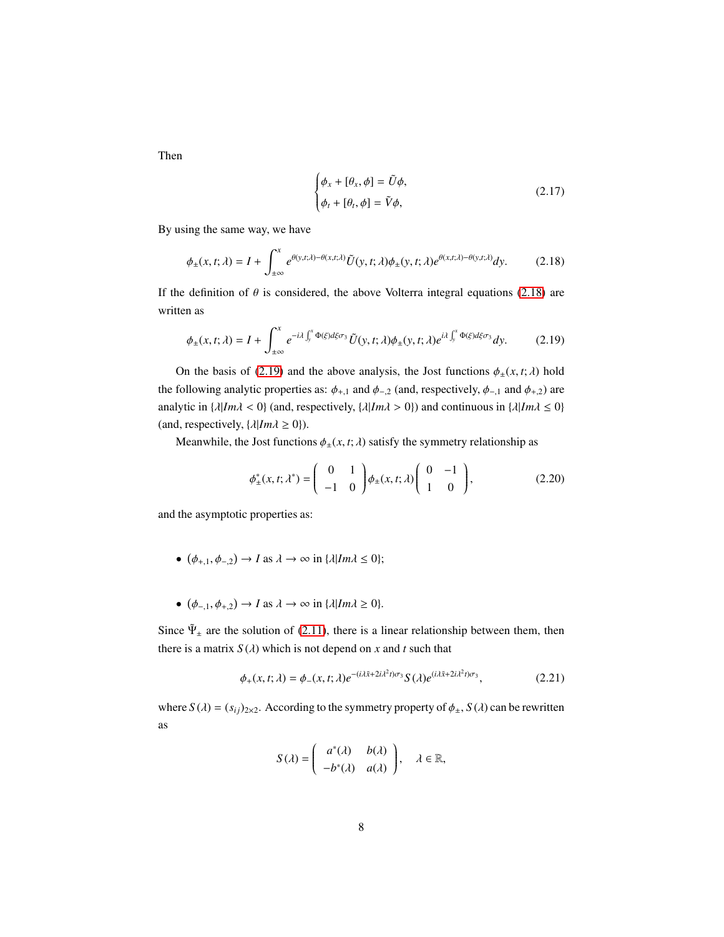Then

<span id="page-7-1"></span><span id="page-7-0"></span>
$$
\begin{cases} \phi_x + [\theta_x, \phi] = \tilde{U}\phi, \\ \phi_t + [\theta_t, \phi] = \tilde{V}\phi, \end{cases}
$$
 (2.17)

By using the same way, we have

$$
\phi_{\pm}(x,t;\lambda) = I + \int_{\pm\infty}^{x} e^{\theta(y,t;\lambda) - \theta(x,t;\lambda)} \tilde{U}(y,t;\lambda) \phi_{\pm}(y,t;\lambda) e^{\theta(x,t;\lambda) - \theta(y,t;\lambda)} dy.
$$
 (2.18)

If the definition of  $\theta$  is considered, the above Volterra integral equations [\(2.18\)](#page-7-0) are written as

$$
\phi_{\pm}(x,t;\lambda) = I + \int_{\pm\infty}^{x} e^{-i\lambda \int_{y}^{x} \Phi(\xi)d\xi\sigma_{3}} \tilde{U}(y,t;\lambda)\phi_{\pm}(y,t;\lambda)e^{i\lambda \int_{y}^{x} \Phi(\xi)d\xi\sigma_{3}}dy.
$$
 (2.19)

On the basis of [\(2.19\)](#page-7-1) and the above analysis, the Jost functions  $\phi_{\pm}(x, t; \lambda)$  hold the following analytic properties as:  $\phi_{+,1}$  and  $\phi_{-,2}$  (and, respectively,  $\phi_{-,1}$  and  $\phi_{+,2}$ ) are analytic in  $\{\lambda | Im\lambda < 0\}$  (and, respectively,  $\{\lambda | Im\lambda > 0\}$ ) and continuous in  $\{\lambda | Im\lambda \le 0\}$ (and, respectively,  $\{\lambda | Im\lambda \ge 0\}$ ).

Meanwhile, the Jost functions  $\phi_{\pm}(x, t; \lambda)$  satisfy the symmetry relationship as

$$
\phi_{\pm}^*(x,t;\lambda^*) = \begin{pmatrix} 0 & 1 \\ -1 & 0 \end{pmatrix} \phi_{\pm}(x,t;\lambda) \begin{pmatrix} 0 & -1 \\ 1 & 0 \end{pmatrix},
$$
 (2.20)

and the asymptotic properties as:

- $(\phi_{+,1}, \phi_{-,2}) \rightarrow I$  as  $\lambda \rightarrow \infty$  in  $\{\lambda | Im \lambda \le 0\};$
- $(\phi_{-,1}, \phi_{+,2}) \rightarrow I$  as  $\lambda \rightarrow \infty$  in  $\{\lambda | Im \lambda \ge 0\}.$

Since  $\tilde{\Psi}_\pm$  are the solution of [\(2.11\)](#page-5-1), there is a linear relationship between them, then there is a matrix  $S(\lambda)$  which is not depend on x and t such that

$$
\phi_{+}(x,t;\lambda) = \phi_{-}(x,t;\lambda)e^{-(i\lambda\tilde{x}+2i\lambda^{2}t)\sigma_{3}}S(\lambda)e^{(i\lambda\tilde{x}+2i\lambda^{2}t)\sigma_{3}},
$$
\n(2.21)

where  $S(\lambda) = (s_{ij})_{2 \times 2}$ . According to the symmetry property of  $\phi_{\pm}$ ,  $S(\lambda)$  can be rewritten as

$$
S(\lambda) = \begin{pmatrix} a^*(\lambda) & b(\lambda) \\ -b^*(\lambda) & a(\lambda) \end{pmatrix}, \quad \lambda \in \mathbb{R},
$$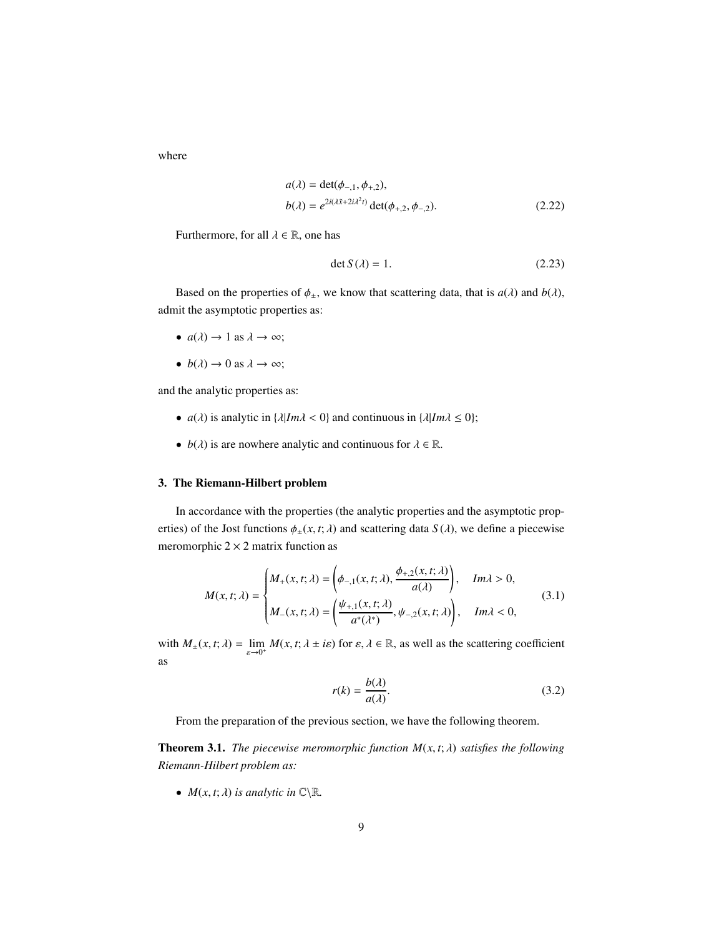where

$$
a(\lambda) = \det(\phi_{-,1}, \phi_{+,2}),
$$
  
\n
$$
b(\lambda) = e^{2i(\lambda \tilde{x} + 2i\lambda^2 t)} \det(\phi_{+,2}, \phi_{-,2}).
$$
\n(2.22)

Furthermore, for all  $\lambda \in \mathbb{R}$ , one has

$$
\det S(\lambda) = 1. \tag{2.23}
$$

Based on the properties of  $\phi_{\pm}$ , we know that scattering data, that is  $a(\lambda)$  and  $b(\lambda)$ , admit the asymptotic properties as:

- $a(\lambda) \rightarrow 1$  as  $\lambda \rightarrow \infty$ ;
- $b(\lambda) \rightarrow 0$  as  $\lambda \rightarrow \infty$ ;

and the analytic properties as:

- *a*( $\lambda$ ) is analytic in { $\lambda |Im \lambda < 0$ } and continuous in { $\lambda |Im \lambda \le 0$ };
- $b(\lambda)$  is are nowhere analytic and continuous for  $\lambda \in \mathbb{R}$ .

## <span id="page-8-0"></span>3. The Riemann-Hilbert problem

In accordance with the properties (the analytic properties and the asymptotic properties) of the Jost functions  $\phi_{\pm}(x, t; \lambda)$  and scattering data  $S(\lambda)$ , we define a piecewise meromorphic  $2 \times 2$  matrix function as

$$
M(x,t;\lambda) = \begin{cases} M_{+}(x,t;\lambda) = \left(\phi_{-,1}(x,t;\lambda), \frac{\phi_{+,2}(x,t;\lambda)}{a(\lambda)}\right), & Im\lambda > 0, \\ M_{-}(x,t;\lambda) = \left(\frac{\psi_{+,1}(x,t;\lambda)}{a^*(\lambda^*)}, \psi_{-,2}(x,t;\lambda)\right), & Im\lambda < 0, \end{cases}
$$
(3.1)

with  $M_{\pm}(x, t; \lambda) = \lim_{\varepsilon \to 0^+} M(x, t; \lambda \pm i\varepsilon)$  for  $\varepsilon, \lambda \in \mathbb{R}$ , as well as the scattering coefficient as

$$
r(k) = \frac{b(\lambda)}{a(\lambda)}.\tag{3.2}
$$

From the preparation of the previous section, we have the following theorem.

Theorem 3.1. *The piecewise meromorphic function M*(*x*, *t*; λ) *satisfies the following Riemann-Hilbert problem as:*

•  $M(x, t; \lambda)$  *is analytic in*  $\mathbb{C}\setminus\mathbb{R}$ *.*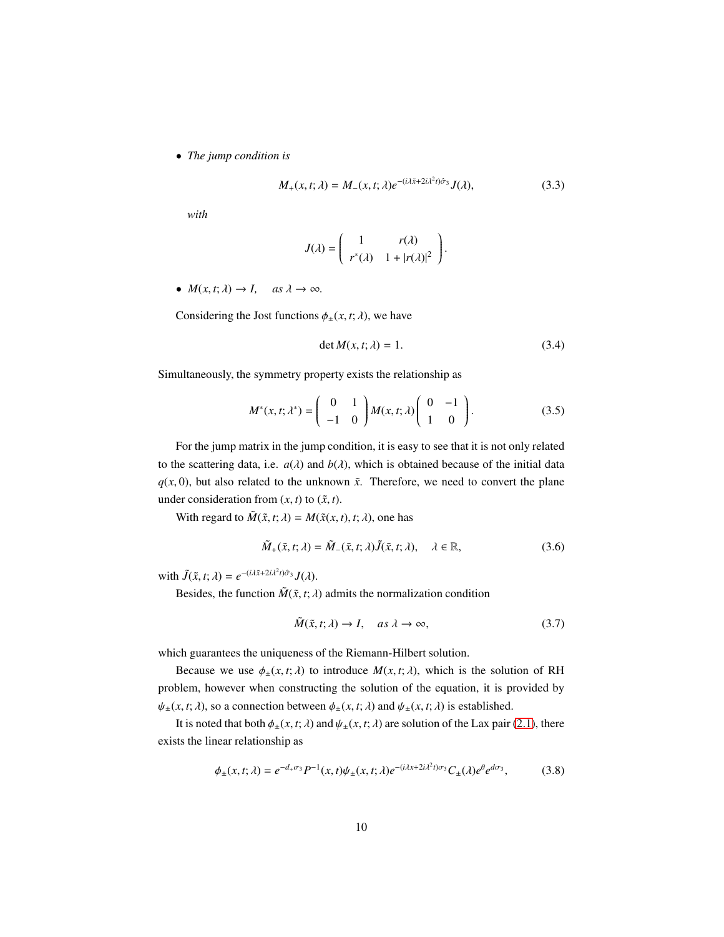• *The jump condition is*

$$
M_{+}(x,t;\lambda) = M_{-}(x,t;\lambda)e^{-(i\lambda\tilde{x} + 2i\lambda^{2}t)\hat{\sigma}_{3}}J(\lambda),
$$
\n(3.3)

*with*

$$
J(\lambda) = \begin{pmatrix} 1 & r(\lambda) \\ r^*(\lambda) & 1 + |r(\lambda)|^2 \end{pmatrix}.
$$

•  $M(x, t; \lambda) \rightarrow I$ , as  $\lambda \rightarrow \infty$ .

Considering the Jost functions  $\phi_{\pm}(x, t; \lambda)$ , we have

$$
\det M(x, t; \lambda) = 1. \tag{3.4}
$$

Simultaneously, the symmetry property exists the relationship as

$$
M^*(x,t;\lambda^*) = \begin{pmatrix} 0 & 1 \\ -1 & 0 \end{pmatrix} M(x,t;\lambda) \begin{pmatrix} 0 & -1 \\ 1 & 0 \end{pmatrix}.
$$
 (3.5)

For the jump matrix in the jump condition, it is easy to see that it is not only related to the scattering data, i.e.  $a(\lambda)$  and  $b(\lambda)$ , which is obtained because of the initial data  $q(x, 0)$ , but also related to the unknown  $\tilde{x}$ . Therefore, we need to convert the plane under consideration from  $(x, t)$  to  $(\tilde{x}, t)$ .

With regard to  $\tilde{M}(\tilde{x}, t; \lambda) = M(\tilde{x}(x, t), t; \lambda)$ , one has

$$
\tilde{M}_{+}(\tilde{x},t;\lambda) = \tilde{M}_{-}(\tilde{x},t;\lambda)\tilde{J}(\tilde{x},t;\lambda), \quad \lambda \in \mathbb{R},
$$
\n(3.6)

with  $\tilde{J}(\tilde{x}, t; \lambda) = e^{-(i\lambda \tilde{x} + 2i\lambda^2 t)\hat{\sigma}_3} J(\lambda).$ 

Besides, the function  $\tilde{M}(\tilde{x}, t; \lambda)$  admits the normalization condition

$$
\tilde{M}(\tilde{x}, t; \lambda) \to I, \quad \text{as } \lambda \to \infty,
$$
\n(3.7)

which guarantees the uniqueness of the Riemann-Hilbert solution.

Because we use  $\phi_{\pm}(x, t; \lambda)$  to introduce  $M(x, t; \lambda)$ , which is the solution of RH problem, however when constructing the solution of the equation, it is provided by  $\psi_{\pm}(x, t; \lambda)$ , so a connection between  $\phi_{\pm}(x, t; \lambda)$  and  $\psi_{\pm}(x, t; \lambda)$  is established.

It is noted that both  $\phi_{\pm}(x, t; \lambda)$  and  $\psi_{\pm}(x, t; \lambda)$  are solution of the Lax pair [\(2.1\)](#page-3-1), there exists the linear relationship as

$$
\phi_{\pm}(x,t;\lambda) = e^{-d_{+}\sigma_{3}} P^{-1}(x,t)\psi_{\pm}(x,t;\lambda)e^{-(i\lambda x + 2i\lambda^{2}t)\sigma_{3}}C_{\pm}(\lambda)e^{\theta}e^{d\sigma_{3}},
$$
(3.8)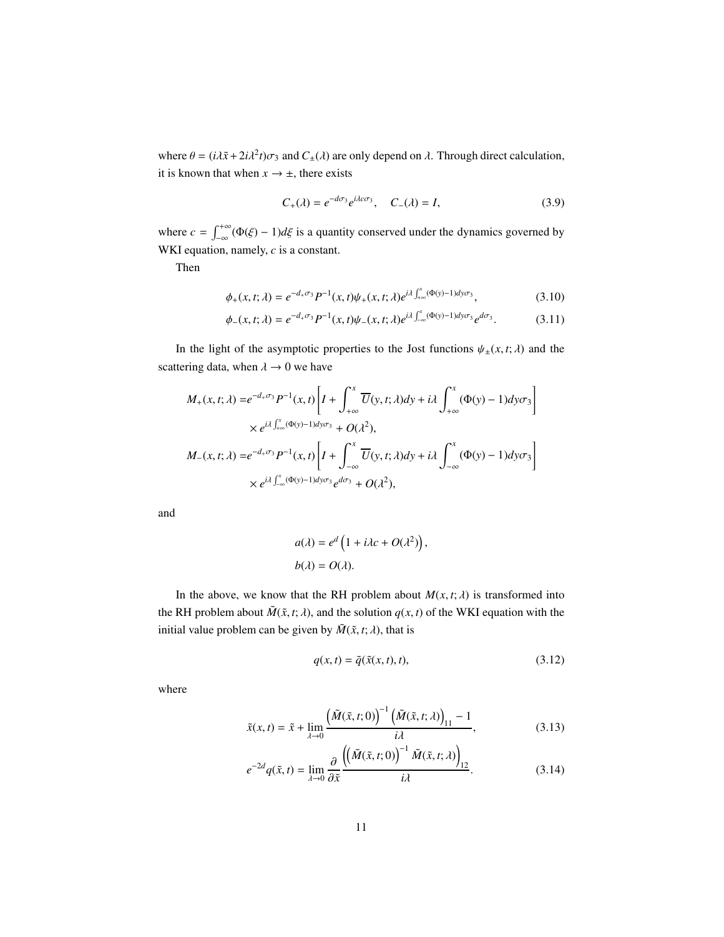where  $\theta = (i\lambda \tilde{x} + 2i\lambda^2 t)\sigma_3$  and  $C_{\pm}(\lambda)$  are only depend on  $\lambda$ . Through direct calculation, it is known that when  $x \rightarrow \pm$ , there exists

$$
C_{+}(\lambda) = e^{-d\sigma_{3}} e^{i\lambda c\sigma_{3}}, \quad C_{-}(\lambda) = I,
$$
 (3.9)

where  $c = \int_{-\infty}^{+\infty} (\Phi(\xi) - 1) d\xi$  is a quantity conserved under the dynamics governed by WKI equation, namely, *c* is a constant.

Then

$$
\phi_{+}(x,t;\lambda) = e^{-d_{+}\sigma_{3}} P^{-1}(x,t)\psi_{+}(x,t;\lambda)e^{i\lambda \int_{+\infty}^{x}(\Phi(y)-1)dy\sigma_{3}},
$$
\n(3.10)

$$
\phi_{-}(x,t;\lambda) = e^{-d_{+}\sigma_{3}} P^{-1}(x,t)\psi_{-}(x,t;\lambda)e^{i\lambda \int_{-\infty}^{x}(\Phi(y)-1)dy\sigma_{3}}e^{d\sigma_{3}}.
$$
 (3.11)

In the light of the asymptotic properties to the Jost functions  $\psi_{\pm}(x, t; \lambda)$  and the scattering data, when  $\lambda \rightarrow 0$  we have

$$
M_{+}(x,t;\lambda) = e^{-d_{+}\sigma_{3}} P^{-1}(x,t) \left[ I + \int_{+\infty}^{x} \overline{U}(y,t;\lambda) dy + i\lambda \int_{+\infty}^{x} (\Phi(y) - 1) dy \sigma_{3} \right]
$$
  
 
$$
\times e^{i\lambda \int_{+\infty}^{x} (\Phi(y) - 1) dy \sigma_{3}} + O(\lambda^{2}),
$$
  
\n
$$
M_{-}(x,t;\lambda) = e^{-d_{+}\sigma_{3}} P^{-1}(x,t) \left[ I + \int_{-\infty}^{x} \overline{U}(y,t;\lambda) dy + i\lambda \int_{-\infty}^{x} (\Phi(y) - 1) dy \sigma_{3} \right]
$$
  
\n
$$
\times e^{i\lambda \int_{-\infty}^{x} (\Phi(y) - 1) dy \sigma_{3}} e^{d\sigma_{3}} + O(\lambda^{2}),
$$

and

$$
a(\lambda) = e^d \left( 1 + i\lambda c + O(\lambda^2) \right),
$$
  

$$
b(\lambda) = O(\lambda).
$$

In the above, we know that the RH problem about  $M(x, t; \lambda)$  is transformed into the RH problem about  $\tilde{M}(\tilde{x}, t; \lambda)$ , and the solution  $q(x, t)$  of the WKI equation with the initial value problem can be given by  $\tilde{M}(\tilde{x}, t; \lambda)$ , that is

$$
q(x,t) = \tilde{q}(\tilde{x}(x,t),t),
$$
\n(3.12)

where

$$
\tilde{x}(x,t) = \tilde{x} + \lim_{\lambda \to 0} \frac{\left(\tilde{M}(\tilde{x},t;0)\right)^{-1} \left(\tilde{M}(\tilde{x},t;\lambda)\right)_{11} - 1}{i\lambda},\tag{3.13}
$$

$$
e^{-2d}q(\tilde{x},t) = \lim_{\lambda \to 0} \frac{\partial}{\partial \tilde{x}} \frac{\left( \left( \tilde{M}(\tilde{x},t;0) \right)^{-1} \tilde{M}(\tilde{x},t;\lambda) \right)_{12}}{i\lambda}.
$$
 (3.14)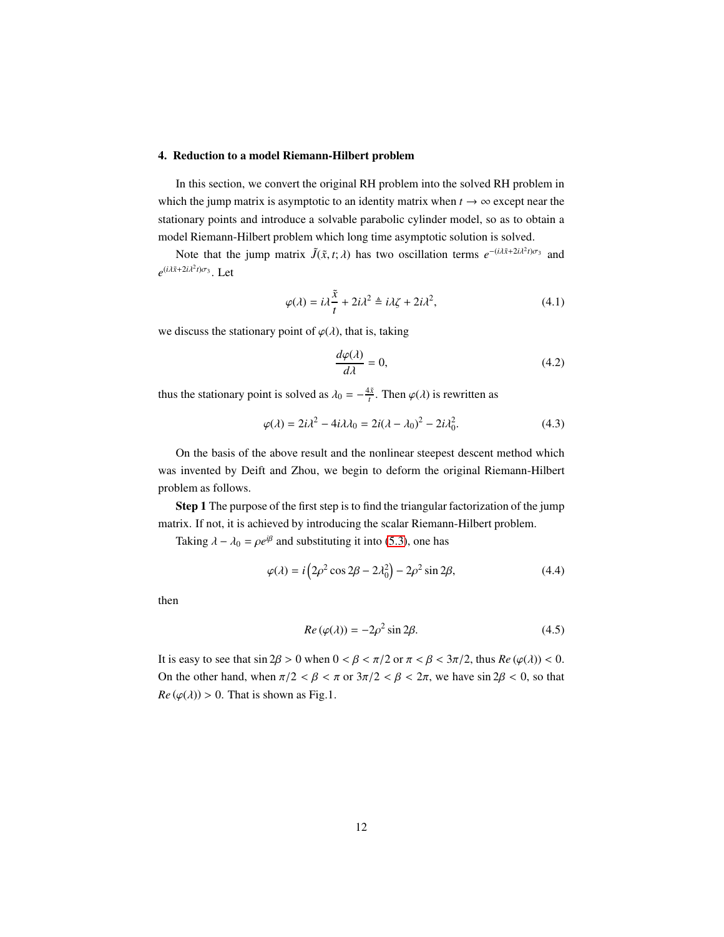#### <span id="page-11-0"></span>4. Reduction to a model Riemann-Hilbert problem

In this section, we convert the original RH problem into the solved RH problem in which the jump matrix is asymptotic to an identity matrix when  $t \to \infty$  except near the stationary points and introduce a solvable parabolic cylinder model, so as to obtain a model Riemann-Hilbert problem which long time asymptotic solution is solved.

Note that the jump matrix  $\tilde{J}(\tilde{x}, t; \lambda)$  has two oscillation terms  $e^{-(i\lambda \tilde{x} + 2i\lambda^2 t)\sigma_3}$  and  $e^{(i\lambda \tilde{x} + 2i\lambda^2 t)\sigma_3}$ . Let

$$
\varphi(\lambda) = i\lambda \frac{\tilde{x}}{t} + 2i\lambda^2 \triangleq i\lambda \zeta + 2i\lambda^2, \tag{4.1}
$$

we discuss the stationary point of  $\varphi(\lambda)$ , that is, taking

$$
\frac{d\varphi(\lambda)}{d\lambda} = 0,\t\t(4.2)
$$

thus the stationary point is solved as  $\lambda_0 = -\frac{4\tilde{x}}{t}$ . Then  $\varphi(\lambda)$  is rewritten as

$$
\varphi(\lambda) = 2i\lambda^2 - 4i\lambda\lambda_0 = 2i(\lambda - \lambda_0)^2 - 2i\lambda_0^2.
$$
\n(4.3)

On the basis of the above result and the nonlinear steepest descent method which was invented by Deift and Zhou, we begin to deform the original Riemann-Hilbert problem as follows.

Step 1 The purpose of the first step is to find the triangular factorization of the jump matrix. If not, it is achieved by introducing the scalar Riemann-Hilbert problem.

Taking  $\lambda - \lambda_0 = \rho e^{i\beta}$  and substituting it into [\(5.3\)](#page-20-1), one has

$$
\varphi(\lambda) = i \left( 2\rho^2 \cos 2\beta - 2\lambda_0^2 \right) - 2\rho^2 \sin 2\beta,\tag{4.4}
$$

then

$$
Re\left(\varphi(\lambda)\right) = -2\rho^2 \sin 2\beta. \tag{4.5}
$$

It is easy to see that  $\sin 2\beta > 0$  when  $0 < \beta < \pi/2$  or  $\pi < \beta < 3\pi/2$ , thus  $Re(\varphi(\lambda)) < 0$ . On the other hand, when  $\pi/2 < \beta < \pi$  or  $3\pi/2 < \beta < 2\pi$ , we have sin  $2\beta < 0$ , so that  $Re(\varphi(\lambda)) > 0$ . That is shown as Fig.1.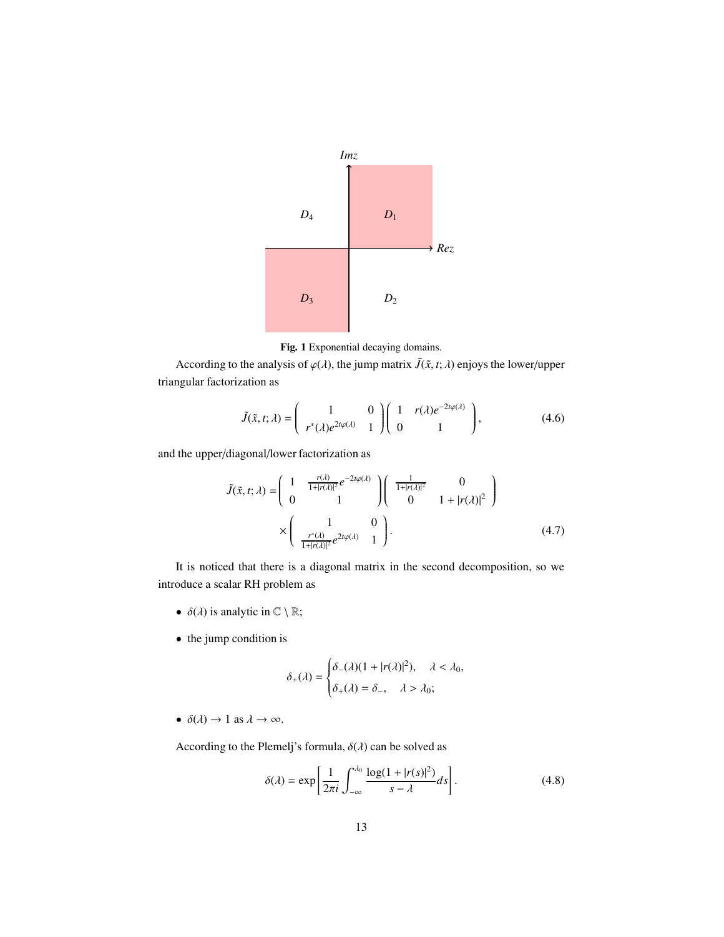

Fig. 1 Exponential decaying domains.

According to the analysis of  $\varphi(\lambda)$ , the jump matrix  $\tilde{J}(\tilde{x}, t; \lambda)$  enjoys the lower/upper triangular factorization as

$$
\tilde{J}(\tilde{x},t;\lambda) = \begin{pmatrix} 1 & 0 \\ r^*(\lambda)e^{2t\varphi(\lambda)} & 1 \end{pmatrix} \begin{pmatrix} 1 & r(\lambda)e^{-2t\varphi(\lambda)} \\ 0 & 1 \end{pmatrix},
$$
(4.6)

and the upper/diagonal/lower factorization as

$$
\tilde{J}(\tilde{x},t;\lambda) = \begin{pmatrix} 1 & \frac{r(\lambda)}{1+|r(\lambda)|^2} e^{-2t\varphi(\lambda)} \\ 0 & 1 \end{pmatrix} \begin{pmatrix} \frac{1}{1+|r(\lambda)|^2} & 0 \\ 0 & 1+|r(\lambda)|^2 \end{pmatrix}
$$

$$
\times \begin{pmatrix} 1 & 0 \\ \frac{r^*(\lambda)}{1+|r(\lambda)|^2} e^{2t\varphi(\lambda)} & 1 \end{pmatrix}.
$$
(4.7)

It is noticed that there is a diagonal matrix in the second decomposition, so we introduce a scalar RH problem as

- $\delta(\lambda)$  is analytic in  $\mathbb{C} \setminus \mathbb{R}$ ;
- the jump condition is

$$
\delta_+(\lambda) = \begin{cases} \delta_-(\lambda)(1+|r(\lambda)|^2), & \lambda < \lambda_0, \\ \delta_+(\lambda) = \delta_-, & \lambda > \lambda_0; \end{cases}
$$

•  $\delta(\lambda) \to 1$  as  $\lambda \to \infty$ .

According to the Plemelj's formula,  $\delta(\lambda)$  can be solved as

$$
\delta(\lambda) = \exp\left[\frac{1}{2\pi i} \int_{-\infty}^{\lambda_0} \frac{\log(1 + |r(s)|^2)}{s - \lambda} ds\right].
$$
 (4.8)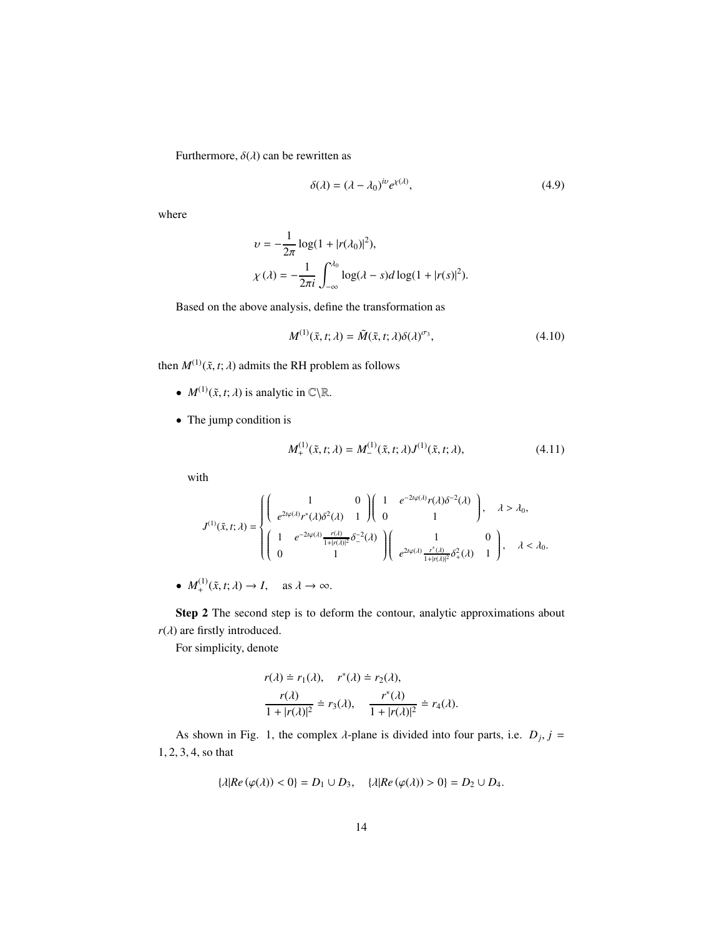Furthermore,  $\delta(\lambda)$  can be rewritten as

$$
\delta(\lambda) = (\lambda - \lambda_0)^{iv} e^{\chi(\lambda)},\tag{4.9}
$$

where

$$
v = -\frac{1}{2\pi} \log(1 + |r(\lambda_0)|^2),
$$
  

$$
\chi(\lambda) = -\frac{1}{2\pi i} \int_{-\infty}^{\lambda_0} \log(\lambda - s) d \log(1 + |r(s)|^2).
$$

Based on the above analysis, define the transformation as

1

$$
M^{(1)}(\tilde{x},t;\lambda) = \tilde{M}(\tilde{x},t;\lambda)\delta(\lambda)^{\sigma_3},\tag{4.10}
$$

then  $M^{(1)}(\tilde{x}, t; \lambda)$  admits the RH problem as follows

- $M^{(1)}(\tilde{x}, t; \lambda)$  is analytic in  $\mathbb{C}\setminus\mathbb{R}$ .
- The jump condition is

$$
M_{+}^{(1)}(\tilde{x},t;\lambda) = M_{-}^{(1)}(\tilde{x},t;\lambda)J^{(1)}(\tilde{x},t;\lambda),
$$
\n(4.11)

with

$$
J^{(1)}(\tilde{x},t;\lambda)=\begin{cases} \left(\begin{array}{cc}1&0\\e^{2t\varphi(\lambda)}r^*(\lambda)\delta^2(\lambda)&1\end{array}\right)\left(\begin{array}{cc}1&e^{-2t\varphi(\lambda)}r(\lambda)\delta^{-2}(\lambda)\\0&1\end{array}\right),\quad\lambda>\lambda_0,\\\left(\begin{array}{cc}1&e^{-2t\varphi(\lambda)}\frac{r(\lambda)}{1+|r(\lambda)|^2}\delta^{-2}_-(\lambda)\end{array}\right)\left(\begin{array}{cc}1&0\\e^{2t\varphi(\lambda)}\frac{r^*(\lambda)}{1+|r(\lambda)|^2}\delta^2_+(\lambda)&1\end{array}\right),\quad\lambda<\lambda_0.\end{cases}
$$

•  $M_+^{(1)}(\tilde{x}, t; \lambda) \to I$ , as  $\lambda \to \infty$ .

Step 2 The second step is to deform the contour, analytic approximations about  $r(\lambda)$  are firstly introduced.

For simplicity, denote

$$
r(\lambda) \doteq r_1(\lambda), \quad r^*(\lambda) \doteq r_2(\lambda),
$$
  

$$
\frac{r(\lambda)}{1+|r(\lambda)|^2} \doteq r_3(\lambda), \quad \frac{r^*(\lambda)}{1+|r(\lambda)|^2} \doteq r_4(\lambda).
$$

As shown in Fig. 1, the complex  $\lambda$ -plane is divided into four parts, i.e.  $D_j$ ,  $j =$ 1, 2, 3, 4, so that

$$
\{\lambda | Re(\varphi(\lambda)) < 0\} = D_1 \cup D_3, \quad \{\lambda | Re(\varphi(\lambda)) > 0\} = D_2 \cup D_4.
$$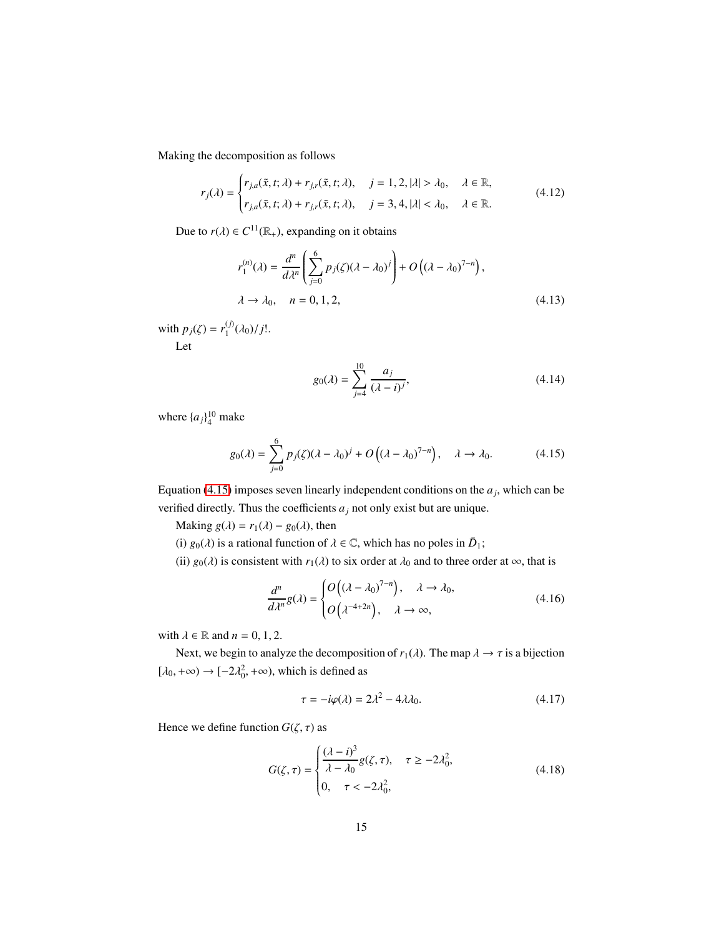Making the decomposition as follows

$$
r_j(\lambda) = \begin{cases} r_{j,a}(\tilde{x}, t; \lambda) + r_{j,r}(\tilde{x}, t; \lambda), & j = 1, 2, |\lambda| > \lambda_0, & \lambda \in \mathbb{R}, \\ r_{j,a}(\tilde{x}, t; \lambda) + r_{j,r}(\tilde{x}, t; \lambda), & j = 3, 4, |\lambda| < \lambda_0, & \lambda \in \mathbb{R}. \end{cases}
$$
(4.12)

Due to  $r(\lambda) \in C^{11}(\mathbb{R}_+)$ , expanding on it obtains

$$
r_1^{(n)}(\lambda) = \frac{d^n}{d\lambda^n} \left( \sum_{j=0}^6 p_j(\zeta)(\lambda - \lambda_0)^j \right) + O\left( (\lambda - \lambda_0)^{7-n} \right),
$$
  

$$
\lambda \to \lambda_0, \quad n = 0, 1, 2,
$$
 (4.13)

with  $p_j(\zeta) = r_1^{(j)}$  $_{1}^{(j)}(\lambda_{0})/j!$ .

Let

<span id="page-14-0"></span>
$$
g_0(\lambda) = \sum_{j=4}^{10} \frac{a_j}{(\lambda - i)^j},
$$
\n(4.14)

where  $\{a_j\}_4^{10}$  make

$$
g_0(\lambda) = \sum_{j=0}^{6} p_j(\zeta)(\lambda - \lambda_0)^j + O\left((\lambda - \lambda_0)^{7-n}\right), \quad \lambda \to \lambda_0. \tag{4.15}
$$

Equation [\(4.15\)](#page-14-0) imposes seven linearly independent conditions on the  $a_j$ , which can be verified directly. Thus the coefficients  $a_j$  not only exist but are unique.

Making  $g(\lambda) = r_1(\lambda) - g_0(\lambda)$ , then

(i)  $g_0(\lambda)$  is a rational function of  $\lambda \in \mathbb{C}$ , which has no poles in  $\overline{D}_1$ ;

(ii)  $g_0(\lambda)$  is consistent with  $r_1(\lambda)$  to six order at  $\lambda_0$  and to three order at  $\infty$ , that is

$$
\frac{d^n}{d\lambda^n}g(\lambda) = \begin{cases} O\left((\lambda - \lambda_0)^{7-n}\right), & \lambda \to \lambda_0, \\ O\left(\lambda^{-4+2n}\right), & \lambda \to \infty, \end{cases}
$$
(4.16)

with  $\lambda \in \mathbb{R}$  and  $n = 0, 1, 2$ .

Next, we begin to analyze the decomposition of  $r_1(\lambda)$ . The map  $\lambda \to \tau$  is a bijection  $[\lambda_0, +\infty) \rightarrow [-2\lambda_0^2, +\infty)$ , which is defined as

<span id="page-14-1"></span>
$$
\tau = -i\varphi(\lambda) = 2\lambda^2 - 4\lambda\lambda_0. \tag{4.17}
$$

Hence we define function  $G(\zeta, \tau)$  as

$$
G(\zeta,\tau) = \begin{cases} \frac{(\lambda - i)^3}{\lambda - \lambda_0} g(\zeta,\tau), & \tau \ge -2\lambda_0^2, \\ 0, & \tau < -2\lambda_0^2, \end{cases}
$$
(4.18)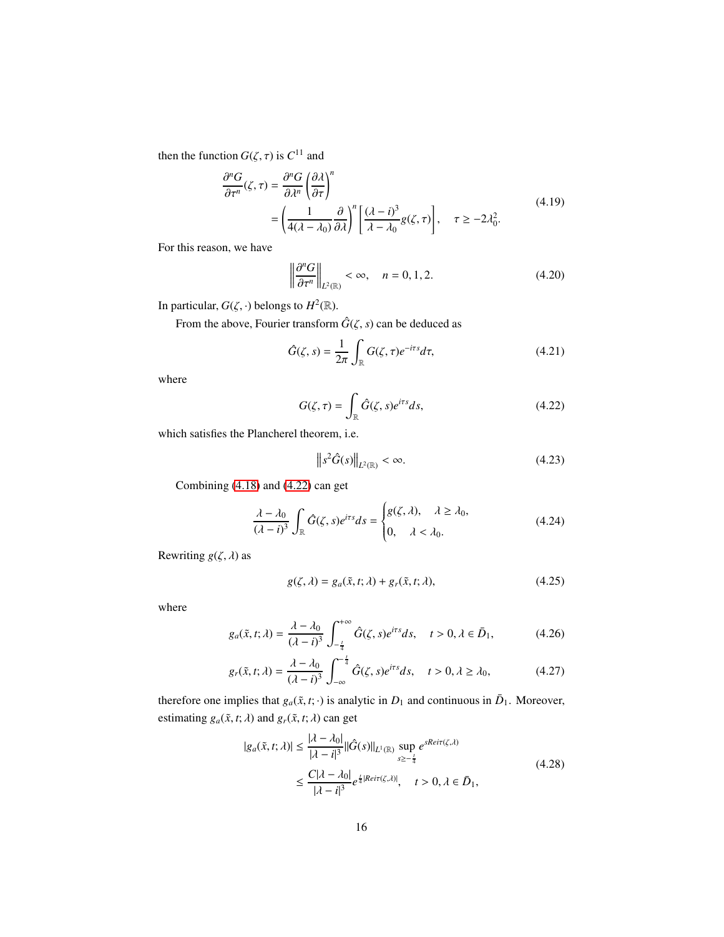then the function  $G(\zeta, \tau)$  is  $C^{11}$  and

$$
\frac{\partial^n G}{\partial \tau^n}(\zeta, \tau) = \frac{\partial^n G}{\partial \lambda^n} \left(\frac{\partial \lambda}{\partial \tau}\right)^n
$$
\n
$$
= \left(\frac{1}{4(\lambda - \lambda_0)} \frac{\partial}{\partial \lambda}\right)^n \left[\frac{(\lambda - i)^3}{\lambda - \lambda_0} g(\zeta, \tau)\right], \quad \tau \ge -2\lambda_0^2.
$$
\n(4.19)

For this reason, we have

$$
\left\|\frac{\partial^n G}{\partial \tau^n}\right\|_{L^2(\mathbb{R})} < \infty, \quad n = 0, 1, 2. \tag{4.20}
$$

In particular,  $G(\zeta, \cdot)$  belongs to  $H^2(\mathbb{R})$ .

From the above, Fourier transform  $\hat{G}(\zeta, s)$  can be deduced as

$$
\hat{G}(\zeta,s) = \frac{1}{2\pi} \int_{\mathbb{R}} G(\zeta,\tau) e^{-i\tau s} d\tau,
$$
\n(4.21)

where

$$
G(\zeta,\tau) = \int_{\mathbb{R}} \hat{G}(\zeta,s)e^{i\tau s}ds,\tag{4.22}
$$

which satisfies the Plancherel theorem, i.e.

<span id="page-15-0"></span>
$$
\left\|s^2\hat{G}(s)\right\|_{L^2(\mathbb{R})} < \infty. \tag{4.23}
$$

Combining [\(4.18\)](#page-14-1) and [\(4.22\)](#page-15-0) can get

$$
\frac{\lambda - \lambda_0}{(\lambda - i)^3} \int_{\mathbb{R}} \hat{G}(\zeta, s) e^{i\tau s} ds = \begin{cases} g(\zeta, \lambda), & \lambda \ge \lambda_0, \\ 0, & \lambda < \lambda_0. \end{cases}
$$
(4.24)

Rewriting  $g(\zeta, \lambda)$  as

$$
g(\zeta, \lambda) = g_a(\tilde{x}, t; \lambda) + g_r(\tilde{x}, t; \lambda), \qquad (4.25)
$$

where

$$
g_a(\tilde{x}, t; \lambda) = \frac{\lambda - \lambda_0}{(\lambda - i)^3} \int_{-\frac{t}{4}}^{+\infty} \hat{G}(\zeta, s) e^{i\tau s} ds, \quad t > 0, \lambda \in \bar{D}_1,
$$
 (4.26)

$$
g_r(\tilde{x}, t; \lambda) = \frac{\lambda - \lambda_0}{(\lambda - i)^3} \int_{-\infty}^{-\frac{t}{4}} \hat{G}(\zeta, s) e^{i\tau s} ds, \quad t > 0, \lambda \ge \lambda_0,
$$
 (4.27)

therefore one implies that  $g_a(\tilde{x}, t; \cdot)$  is analytic in  $D_1$  and continuous in  $\bar{D}_1$ . Moreover, estimating  $g_a(\tilde{x}, t; \lambda)$  and  $g_r(\tilde{x}, t; \lambda)$  can get

$$
|g_a(\tilde{x}, t; \lambda)| \le \frac{|\lambda - \lambda_0|}{|\lambda - i|^3} ||\hat{G}(s)||_{L^1(\mathbb{R})} \sup_{s \ge -\frac{t}{4}} e^{sReir(\zeta, \lambda)}
$$
  

$$
\le \frac{C|\lambda - \lambda_0|}{|\lambda - i|^3} e^{\frac{t}{4}|Reir(\zeta, \lambda)|}, \quad t > 0, \lambda \in \bar{D}_1,
$$
 (4.28)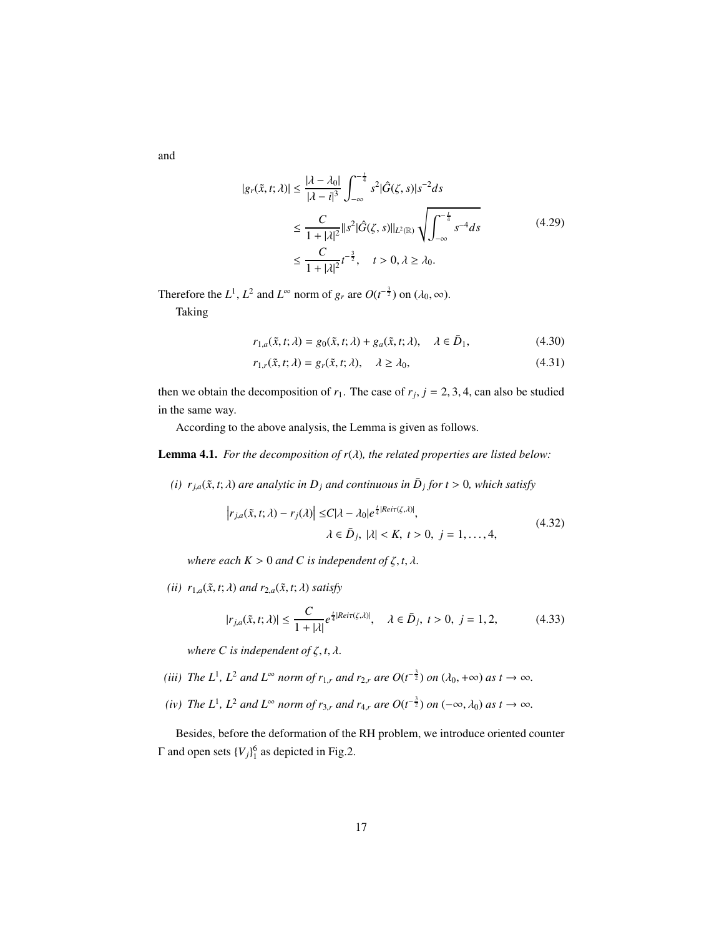and

$$
|g_r(\tilde{x}, t; \lambda)| \le \frac{|\lambda - \lambda_0|}{|\lambda - i|^3} \int_{-\infty}^{-\frac{t}{4}} s^2 |\hat{G}(\zeta, s)| s^{-2} ds
$$
  

$$
\le \frac{C}{1 + |\lambda|^2} ||s^2 |\hat{G}(\zeta, s)||_{L^2(\mathbb{R})} \sqrt{\int_{-\infty}^{-\frac{t}{4}} s^{-4} ds}
$$
  

$$
\le \frac{C}{1 + |\lambda|^2} t^{-\frac{3}{2}}, \quad t > 0, \lambda \ge \lambda_0.
$$
 (4.29)

Therefore the  $L^1$ ,  $L^2$  and  $L^\infty$  norm of  $g_r$  are  $O(t^{-\frac{3}{2}})$  on  $(\lambda_0, \infty)$ .

Taking

$$
r_{1,a}(\tilde{x},t;\lambda) = g_0(\tilde{x},t;\lambda) + g_a(\tilde{x},t;\lambda), \quad \lambda \in \bar{D}_1,
$$
\n(4.30)

$$
r_{1,r}(\tilde{x},t;\lambda) = g_r(\tilde{x},t;\lambda), \quad \lambda \ge \lambda_0,
$$
\n(4.31)

then we obtain the decomposition of  $r_1$ . The case of  $r_j$ ,  $j = 2, 3, 4$ , can also be studied in the same way.

According to the above analysis, the Lemma is given as follows.

Lemma 4.1. *For the decomposition of r*(λ)*, the related properties are listed below:*

*(i)*  $r_{j,a}(\tilde{x}, t; \lambda)$  are analytic in  $D_j$  and continuous in  $\overline{D}_j$  for  $t > 0$ , which satisfy

$$
\left| r_{j,a}(\tilde{x},t;\lambda) - r_j(\lambda) \right| \le C|\lambda - \lambda_0|e^{\frac{t}{4}|Reir(\zeta,\lambda)|},
$$
  

$$
\lambda \in \bar{D}_j, |\lambda| < K, t > 0, j = 1,\dots, 4,
$$
\n
$$
(4.32)
$$

*where each*  $K > 0$  *and C is independent of*  $\zeta$ *, t,*  $\lambda$ *.* 

*(ii)*  $r_{1,a}(\tilde{x}, t; \lambda)$  *and*  $r_{2,a}(\tilde{x}, t; \lambda)$  *satisfy* 

$$
|r_{j,a}(\tilde{x},t;\lambda)| \le \frac{C}{1+|\lambda|} e^{\frac{t}{4}|Reit(\zeta,\lambda)|}, \quad \lambda \in \bar{D}_j, \ t > 0, \ j = 1, 2,
$$
 (4.33)

*where*  $C$  *is independent of*  $\zeta$ *, t,*  $\lambda$ *.* 

- (*iii*) The L<sup>1</sup>, L<sup>2</sup> and L<sup>∞</sup> norm of  $r_{1,r}$  and  $r_{2,r}$  are  $O(t^{-\frac{3}{2}})$  on  $(\lambda_0, +\infty)$  as  $t \to \infty$ .
- *(iv) The*  $L^1$ *,*  $L^2$  *and*  $L^\infty$  *norm of*  $r_{3,r}$  *and*  $r_{4,r}$  *are*  $O(t^{-\frac{3}{2}})$  *on*  $(-\infty, \lambda_0)$  *as*  $t \to \infty$ *.*

Besides, before the deformation of the RH problem, we introduce oriented counter  $Γ$  and open sets  ${V_j}_1^6$  as depicted in Fig.2.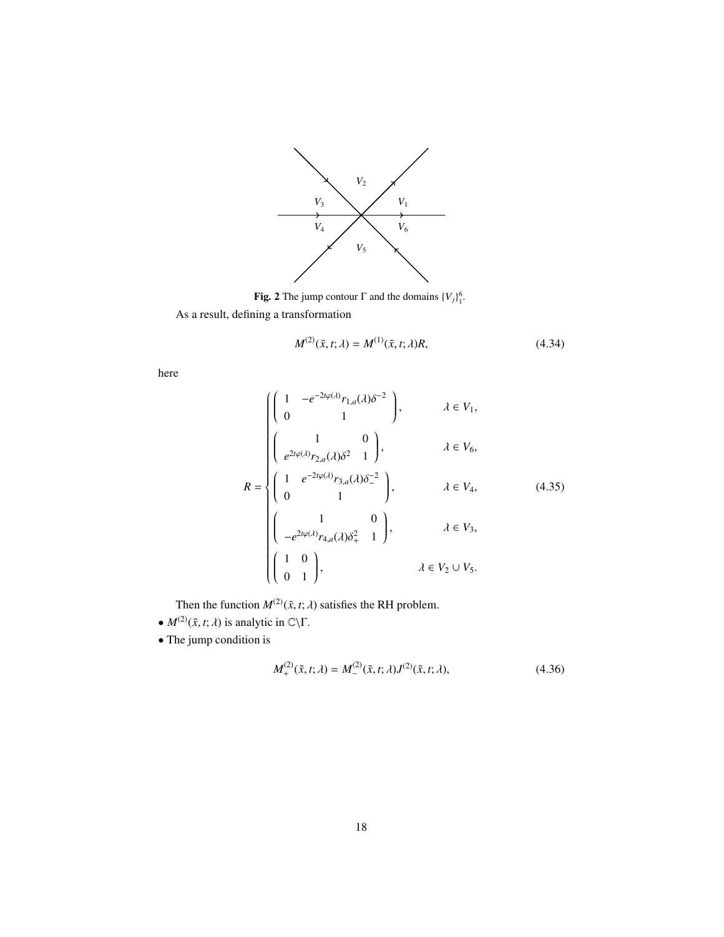

**Fig. 2** The jump contour  $\Gamma$  and the domains  $\{V_j\}_1^6$ .

As a result, defining a transformation

$$
M^{(2)}(\tilde{x},t;\lambda) = M^{(1)}(\tilde{x},t;\lambda)R,\tag{4.34}
$$

here

$$
R = \begin{cases} \begin{pmatrix} 1 & -e^{-2t\varphi(\lambda)}r_{1,a}(\lambda)\delta^{-2} \\ 0 & 1 \end{pmatrix}, & \lambda \in V_1, \\ \begin{pmatrix} 1 & 0 \\ e^{2t\varphi(\lambda)}r_{2,a}(\lambda)\delta^{2} & 1 \end{pmatrix}, & \lambda \in V_6, \\ \begin{pmatrix} 1 & e^{-2t\varphi(\lambda)}r_{3,a}(\lambda)\delta^{-2} \\ 0 & 1 \end{pmatrix}, & \lambda \in V_4, \\ \begin{pmatrix} 1 & 0 \\ -e^{2t\varphi(\lambda)}r_{4,a}(\lambda)\delta^{2} & 1 \end{pmatrix}, & \lambda \in V_3, \\ \begin{pmatrix} 1 & 0 \\ 0 & 1 \end{pmatrix}, & \lambda \in V_2 \cup V_5. \end{cases}
$$
(4.35)

Then the function  $M^{(2)}(\tilde{x}, t; \lambda)$  satisfies the RH problem.

- $M^{(2)}(\tilde{x}, t; \lambda)$  is analytic in  $\mathbb{C}\backslash\Gamma$ .
- The jump condition is

$$
M_{+}^{(2)}(\tilde{x},t;\lambda) = M_{-}^{(2)}(\tilde{x},t;\lambda)J^{(2)}(\tilde{x},t;\lambda),
$$
\n(4.36)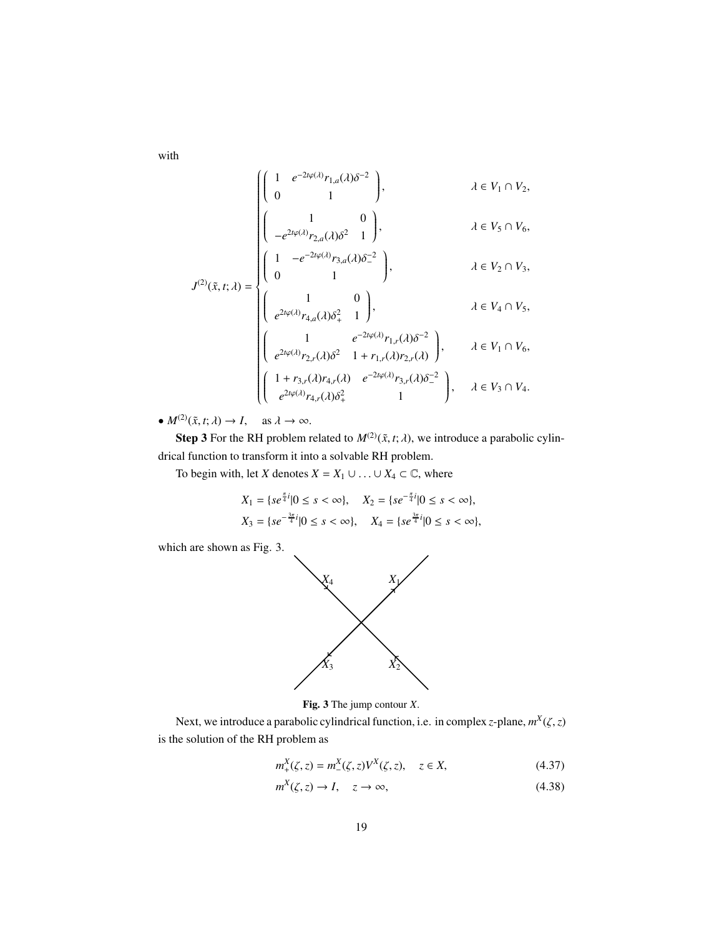with

$$
J^{(2)}(\tilde{x},t;\lambda) = \begin{cases} \begin{pmatrix} 1 & e^{-2t\varphi(\lambda)}r_{1,a}(\lambda)\delta^{-2} \\ 0 & 1 \end{pmatrix}, & \lambda \in V_1 \cap V_2, \\ \begin{pmatrix} 1 & 0 \\ -e^{2t\varphi(\lambda)}r_{2,a}(\lambda)\delta^2 & 1 \end{pmatrix}, & \lambda \in V_5 \cap V_6, \\ \begin{pmatrix} 1 & -e^{-2t\varphi(\lambda)}r_{3,a}(\lambda)\delta^{-2} \\ 0 & 1 \end{pmatrix}, & \lambda \in V_2 \cap V_3, \end{cases}
$$

$$
J^{(2)}(\tilde{x},t;\lambda) = \begin{cases} \begin{pmatrix} 1 & 0 \\ e^{2t\varphi(\lambda)}r_{4,a}(\lambda)\delta_+^2 & 1 \end{pmatrix}, & \lambda \in V_4 \cap V_5, \\ \begin{pmatrix} 1 & e^{-2t\varphi(\lambda)}r_{1,r}(\lambda)\delta^{-2} \\ e^{2t\varphi(\lambda)}r_{2,r}(\lambda)\delta^2 & 1 + r_{1,r}(\lambda)r_{2,r}(\lambda) \end{pmatrix}, & \lambda \in V_1 \cap V_6, \\ \begin{pmatrix} 1 + r_{3,r}(\lambda)r_{4,r}(\lambda) & e^{-2t\varphi(\lambda)}r_{3,r}(\lambda)\delta_-^{-2} \\ e^{2t\varphi(\lambda)}r_{4,r}(\lambda)\delta_+^2 & 1 \end{pmatrix}, & \lambda \in V_3 \cap V_4. \end{cases}
$$

•  $M^{(2)}(\tilde{x}, t; \lambda) \rightarrow I$ , as  $\lambda \rightarrow \infty$ .

**Step 3** For the RH problem related to  $M^{(2)}(\tilde{x}, t; \lambda)$ , we introduce a parabolic cylindrical function to transform it into a solvable RH problem.

To begin with, let *X* denotes  $X = X_1 \cup ... \cup X_4 \subset \mathbb{C}$ , where

$$
X_1 = \{ se^{\frac{\pi}{4}i} | 0 \le s < \infty \}, \quad X_2 = \{ se^{-\frac{\pi}{4}i} | 0 \le s < \infty \},
$$
\n
$$
X_3 = \{ se^{-\frac{3\pi}{4}i} | 0 \le s < \infty \}, \quad X_4 = \{ se^{\frac{3\pi}{4}i} | 0 \le s < \infty \},
$$

which are shown as Fig. 3.



Fig. 3 The jump contour *X*.

Next, we introduce a parabolic cylindrical function, i.e. in complex *z*-plane, *m X* (ζ,*z*) is the solution of the RH problem as

$$
m_{+}^{X}(\zeta, z) = m_{-}^{X}(\zeta, z)V^{X}(\zeta, z), \quad z \in X,
$$
\n(4.37)

$$
m^X(\zeta, z) \to I, \quad z \to \infty,
$$
\n(4.38)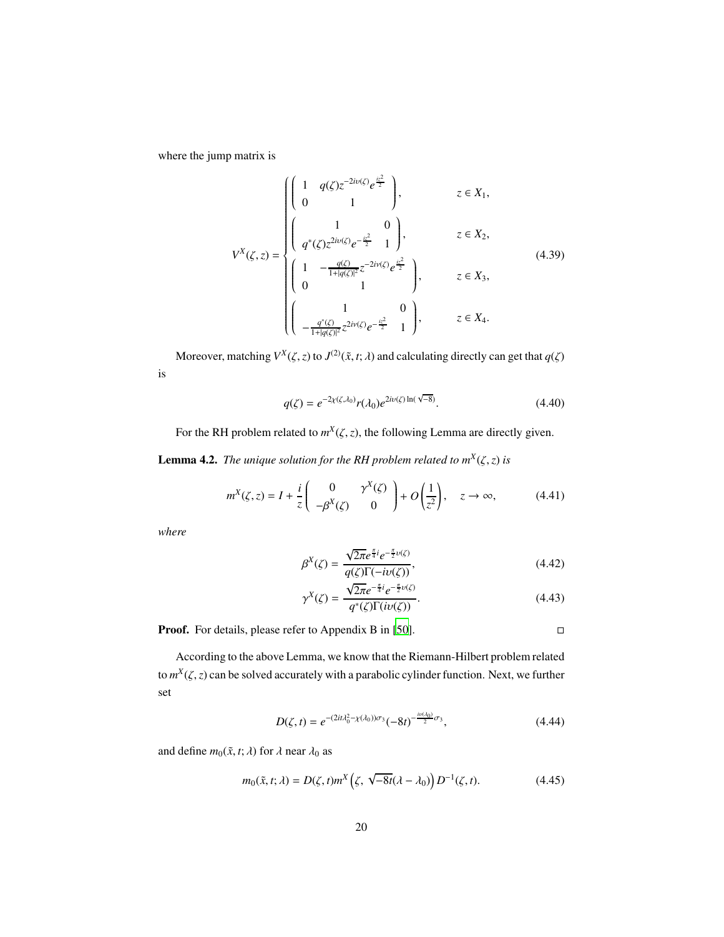where the jump matrix is

$$
V^{X}(\zeta, z) = \begin{cases} \begin{pmatrix} 1 & q(\zeta)z^{-2iv(\zeta)}e^{\frac{iz^{2}}{2}} \\ 0 & 1 \end{pmatrix}, & z \in X_{1}, \\ \begin{pmatrix} 1 & 0 \\ q^{*}(\zeta)z^{2iv(\zeta)}e^{-\frac{iz^{2}}{2}} & 1 \end{pmatrix}, & z \in X_{2}, \\ \begin{pmatrix} 1 & -\frac{q(\zeta)}{1+|q(\zeta)|^{2}}z^{-2iv(\zeta)}e^{\frac{iz^{2}}{2}} \\ 0 & 1 \end{pmatrix}, & z \in X_{3}, \\ \begin{pmatrix} 1 & 0 \\ -\frac{q^{*}(\zeta)}{1+|q(\zeta)|^{2}}z^{2iv(\zeta)}e^{-\frac{iz^{2}}{2}} & 1 \end{pmatrix}, & z \in X_{4}. \end{cases}
$$
(4.39)

Moreover, matching  $V^X(\zeta, z)$  to  $J^{(2)}(\tilde{x}, t; \lambda)$  and calculating directly can get that  $q(\zeta)$ is

$$
q(\zeta) = e^{-2\chi(\zeta, \lambda_0)} r(\lambda_0) e^{2i\nu(\zeta) \ln(\sqrt{-8})}.
$$
\n(4.40)

For the RH problem related to  $m^X(\zeta, z)$ , the following Lemma are directly given.

**Lemma 4.2.** *The unique solution for the RH problem related to*  $m^X(\zeta, z)$  *is* 

$$
m^X(\zeta, z) = I + \frac{i}{z} \begin{pmatrix} 0 & \gamma^X(\zeta) \\ -\beta^X(\zeta) & 0 \end{pmatrix} + O\left(\frac{1}{z^2}\right), \quad z \to \infty,
$$
 (4.41)

*where*

$$
\beta^X(\zeta) = \frac{\sqrt{2\pi}e^{\frac{\pi}{4}i}e^{-\frac{\pi}{2}\nu(\zeta)}}{q(\zeta)\Gamma(-i\nu(\zeta))},\tag{4.42}
$$

$$
\gamma^X(\zeta) = \frac{\sqrt{2\pi}e^{-\frac{\pi}{4}i}e^{-\frac{\pi}{2}\upsilon(\zeta)}}{q^*(\zeta)\Gamma(i\upsilon(\zeta))}.
$$
\n(4.43)

**Proof.** For details, please refer to Appendix B in [\[50\]](#page-28-3). □

According to the above Lemma, we know that the Riemann-Hilbert problem related to  $m^X(\zeta, z)$  can be solved accurately with a parabolic cylinder function. Next, we further set

$$
D(\zeta, t) = e^{-(2it\lambda_0^2 - \chi(\lambda_0))\sigma_3} (-8t)^{-\frac{iv(\lambda_0)}{2}\sigma_3},
$$
\n(4.44)

and define  $m_0(\tilde{x}, t; \lambda)$  for  $\lambda$  near  $\lambda_0$  as

$$
m_0(\tilde{x}, t; \lambda) = D(\zeta, t) m^X \left( \zeta, \sqrt{-8t} (\lambda - \lambda_0) \right) D^{-1}(\zeta, t). \tag{4.45}
$$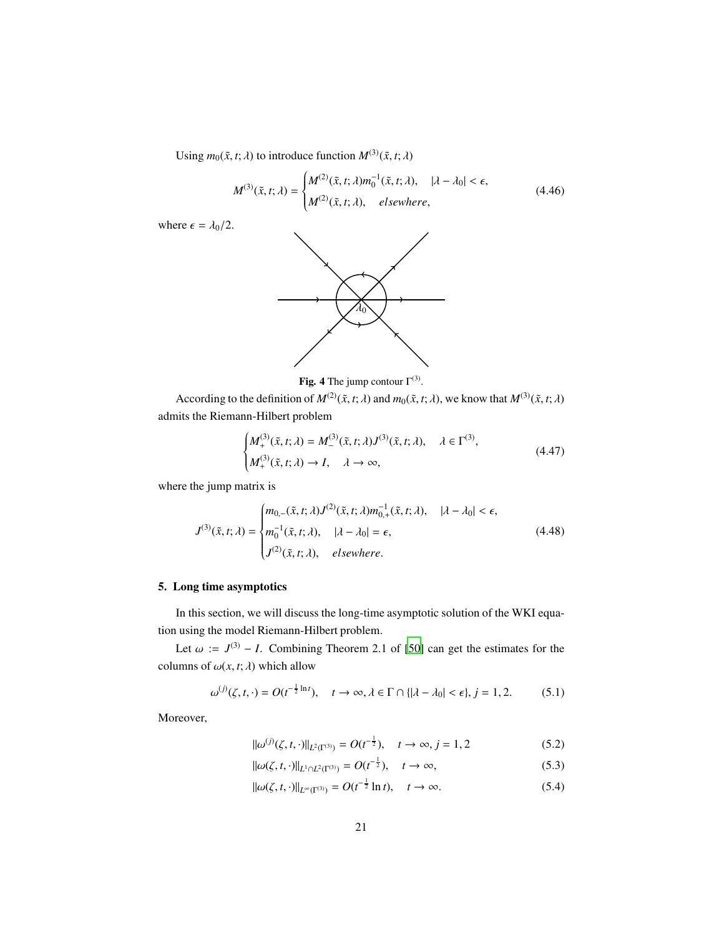Using  $m_0(\tilde{x}, t; \lambda)$  to introduce function  $M^{(3)}(\tilde{x}, t; \lambda)$ 

$$
M^{(3)}(\tilde{x},t;\lambda) = \begin{cases} M^{(2)}(\tilde{x},t;\lambda)m_0^{-1}(\tilde{x},t;\lambda), & |\lambda - \lambda_0| < \epsilon, \\ M^{(2)}(\tilde{x},t;\lambda), & \text{elsewhere,} \end{cases} \tag{4.46}
$$

where  $\epsilon = \lambda_0/2$ .





According to the definition of  $M^{(2)}(\tilde{x}, t; \lambda)$  and  $m_0(\tilde{x}, t; \lambda)$ , we know that  $M^{(3)}(\tilde{x}, t; \lambda)$ admits the Riemann-Hilbert problem

$$
\begin{cases} M_+^{(3)}(\tilde{x},t;\lambda) = M_-^{(3)}(\tilde{x},t;\lambda)J^{(3)}(\tilde{x},t;\lambda), & \lambda \in \Gamma^{(3)},\\ M_+^{(3)}(\tilde{x},t;\lambda) \to I, & \lambda \to \infty,\end{cases}
$$
(4.47)

where the jump matrix is

$$
J^{(3)}(\tilde{x},t;\lambda) = \begin{cases} m_{0,-}(\tilde{x},t;\lambda)J^{(2)}(\tilde{x},t;\lambda)m_{0,+}^{-1}(\tilde{x},t;\lambda), & |\lambda - \lambda_0| < \epsilon, \\ m_0^{-1}(\tilde{x},t;\lambda), & |\lambda - \lambda_0| = \epsilon, \\ J^{(2)}(\tilde{x},t;\lambda), & \text{elsewhere.} \end{cases}
$$
(4.48)

## <span id="page-20-0"></span>5. Long time asymptotics

In this section, we will discuss the long-time asymptotic solution of the WKI equation using the model Riemann-Hilbert problem.

Let  $\omega := J^{(3)} - I$ . Combining Theorem 2.1 of [\[50\]](#page-28-3) can get the estimates for the columns of  $\omega(x, t; \lambda)$  which allow

$$
\omega^{(j)}(\zeta, t, \cdot) = O(t^{-\frac{1}{2}\ln t}), \quad t \to \infty, \lambda \in \Gamma \cap \{|\lambda - \lambda_0| < \epsilon\}, j = 1, 2. \tag{5.1}
$$

Moreover,

$$
\|\omega^{(j)}(\zeta, t, \cdot)\|_{L^2(\Gamma^{(3)})} = O(t^{-\frac{1}{2}}), \quad t \to \infty, j = 1, 2 \tag{5.2}
$$

<span id="page-20-1"></span>
$$
\|\omega(\zeta, t, \cdot)\|_{L^1 \cap L^2(\Gamma^{(3)})} = O(t^{-\frac{1}{2}}), \quad t \to \infty,
$$
\n(5.3)

<span id="page-20-2"></span>
$$
\|\omega(\zeta, t, \cdot)\|_{L^{\infty}(\Gamma^{(3)})} = O(t^{-\frac{1}{2}} \ln t), \quad t \to \infty.
$$
\n(5.4)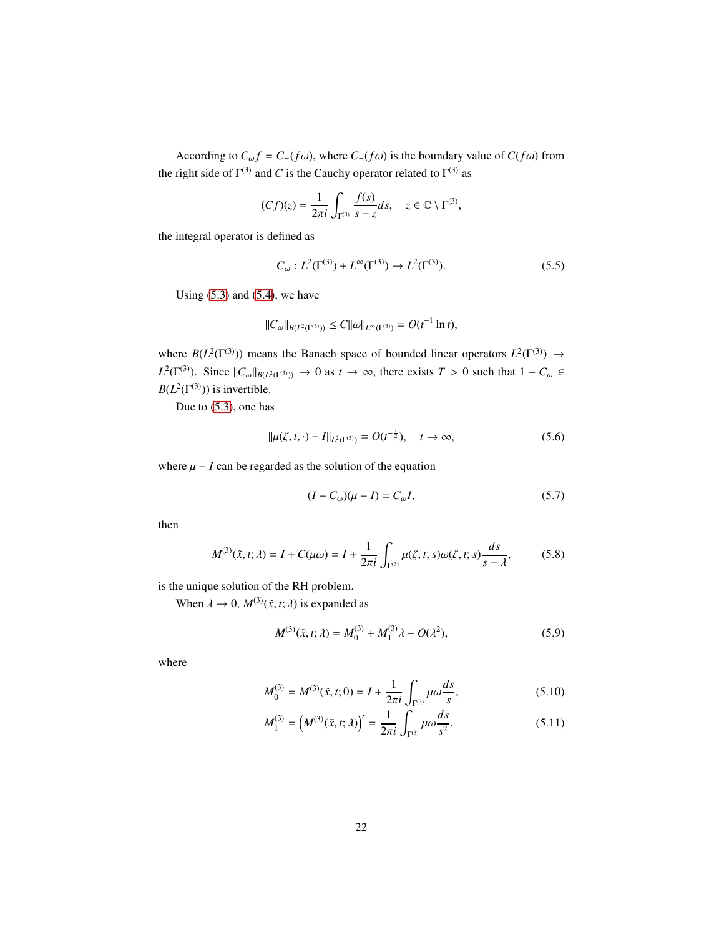According to  $C_{\omega} f = C_{-}(f\omega)$ , where  $C_{-}(f\omega)$  is the boundary value of  $C(f\omega)$  from the right side of  $\Gamma^{(3)}$  and *C* is the Cauchy operator related to  $\Gamma^{(3)}$  as

$$
(Cf)(z) = \frac{1}{2\pi i} \int_{\Gamma^{(3)}} \frac{f(s)}{s - z} ds, \quad z \in \mathbb{C} \setminus \Gamma^{(3)},
$$

the integral operator is defined as

$$
C_{\omega}: L^{2}(\Gamma^{(3)}) + L^{\infty}(\Gamma^{(3)}) \to L^{2}(\Gamma^{(3)}).
$$
 (5.5)

Using  $(5.3)$  and  $(5.4)$ , we have

$$
||C_{\omega}||_{B(L^2(\Gamma^{(3)}))} \leq C||\omega||_{L^{\infty}(\Gamma^{(3)})} = O(t^{-1}\ln t),
$$

where  $B(L^2(\Gamma^{(3)}))$  means the Banach space of bounded linear operators  $L^2(\Gamma^{(3)}) \to$  $L^2(\Gamma^{(3)})$ . Since  $||C_{\omega}||_{B(L^2(\Gamma^{(3)}))} \to 0$  as  $t \to \infty$ , there exists  $T > 0$  such that  $1 - C_{\omega} \in$  $B(L^2(\Gamma^{(3)}))$  is invertible.

Due to [\(5.3\)](#page-20-1), one has

$$
\|\mu(\zeta, t, \cdot) - I\|_{L^2(\Gamma^{(3)})} = O(t^{-\frac{1}{2}}), \quad t \to \infty,
$$
\n(5.6)

where  $\mu - I$  can be regarded as the solution of the equation

$$
(I - C_{\omega})(\mu - I) = C_{\omega}I,\tag{5.7}
$$

then

$$
M^{(3)}(\tilde{x}, t; \lambda) = I + C(\mu \omega) = I + \frac{1}{2\pi i} \int_{\Gamma^{(3)}} \mu(\zeta, t; s) \omega(\zeta, t; s) \frac{ds}{s - \lambda},
$$
 (5.8)

is the unique solution of the RH problem.

When  $\lambda \to 0$ ,  $M^{(3)}(\tilde{x}, t; \lambda)$  is expanded as

$$
M^{(3)}(\tilde{x}, t; \lambda) = M_0^{(3)} + M_1^{(3)}\lambda + O(\lambda^2),
$$
\n(5.9)

where

$$
M_0^{(3)} = M^{(3)}(\tilde{x}, t; 0) = I + \frac{1}{2\pi i} \int_{\Gamma^{(3)}} \mu \omega \frac{ds}{s},
$$
\n(5.10)

$$
M_1^{(3)} = \left(M^{(3)}(\tilde{x}, t; \lambda)\right)' = \frac{1}{2\pi i} \int_{\Gamma^{(3)}} \mu \omega \frac{ds}{s^2}.
$$
 (5.11)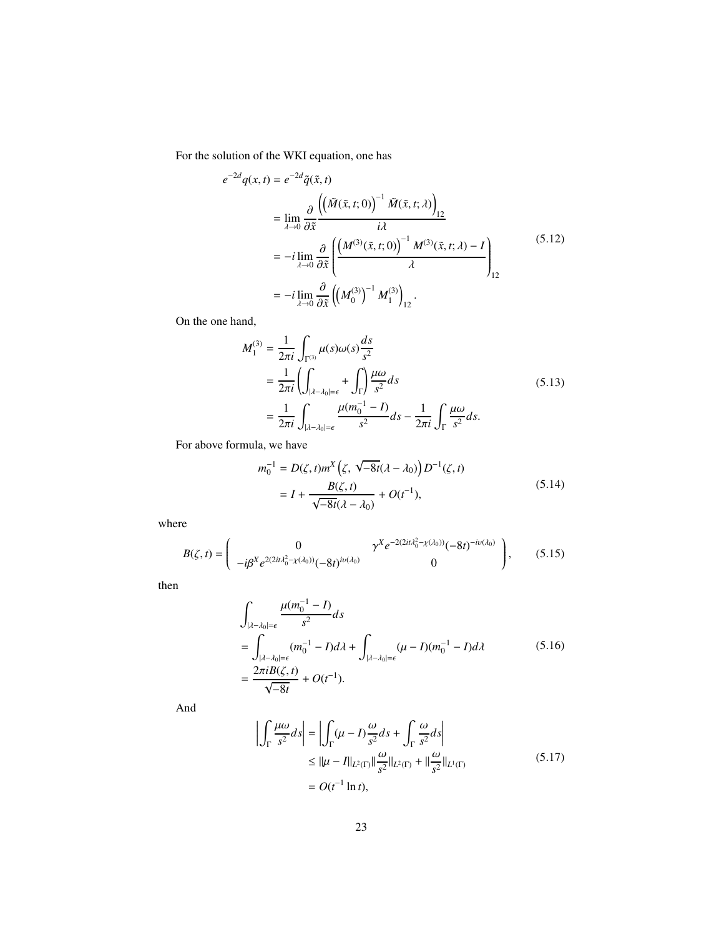For the solution of the WKI equation, one has

$$
e^{-2d}q(x,t) = e^{-2d}\tilde{q}(\tilde{x},t)
$$
  
\n
$$
= \lim_{\lambda \to 0} \frac{\partial}{\partial \tilde{x}} \frac{\left(\left(\tilde{M}(\tilde{x},t;0)\right)^{-1} \tilde{M}(\tilde{x},t;\lambda)\right)_{12}}{i\lambda}
$$
  
\n
$$
= -i \lim_{\lambda \to 0} \frac{\partial}{\partial \tilde{x}} \left(\frac{\left(M^{(3)}(\tilde{x},t;0)\right)^{-1} M^{(3)}(\tilde{x},t;\lambda) - I}{\lambda}\right)_{12}
$$
  
\n
$$
= -i \lim_{\lambda \to 0} \frac{\partial}{\partial \tilde{x}} \left(\left(M_0^{(3)}\right)^{-1} M_1^{(3)}\right)_{12}.
$$
\n(5.12)

On the one hand,

$$
M_1^{(3)} = \frac{1}{2\pi i} \int_{\Gamma^{(3)}} \mu(s)\omega(s) \frac{ds}{s^2}
$$
  
= 
$$
\frac{1}{2\pi i} \left( \int_{|\lambda - \lambda_0| = \epsilon} + \int_{\Gamma} \right) \frac{\mu \omega}{s^2} ds
$$
  
= 
$$
\frac{1}{2\pi i} \int_{|\lambda - \lambda_0| = \epsilon} \frac{\mu(m_0^{-1} - I)}{s^2} ds - \frac{1}{2\pi i} \int_{\Gamma} \frac{\mu \omega}{s^2} ds.
$$
 (5.13)

For above formula, we have

$$
m_0^{-1} = D(\zeta, t)m^X(\zeta, \sqrt{-8t}(\lambda - \lambda_0))D^{-1}(\zeta, t)
$$
  
=  $I + \frac{B(\zeta, t)}{\sqrt{-8t}(\lambda - \lambda_0)} + O(t^{-1}),$  (5.14)

where

$$
B(\zeta,t) = \begin{pmatrix} 0 & \gamma^{X} e^{-2(2it\lambda_0^2 - \chi(\lambda_0))} (-8t)^{-iv(\lambda_0)} \\ -i\beta^{X} e^{2(2it\lambda_0^2 - \chi(\lambda_0))} (-8t)^{iv(\lambda_0)} & 0 \end{pmatrix},
$$
 (5.15)

then

$$
\int_{|\lambda - \lambda_0| = \epsilon} \frac{\mu(m_0^{-1} - I)}{s^2} ds
$$
\n
$$
= \int_{|\lambda - \lambda_0| = \epsilon} (m_0^{-1} - I) d\lambda + \int_{|\lambda - \lambda_0| = \epsilon} (\mu - I)(m_0^{-1} - I) d\lambda
$$
\n
$$
= \frac{2\pi i B(\zeta, t)}{\sqrt{-8t}} + O(t^{-1}).
$$
\n(5.16)

And

$$
\left| \int_{\Gamma} \frac{\mu \omega}{s^2} ds \right| = \left| \int_{\Gamma} (\mu - I) \frac{\omega}{s^2} ds + \int_{\Gamma} \frac{\omega}{s^2} ds \right|
$$
  
\n
$$
\leq ||\mu - I||_{L^2(\Gamma)} ||\frac{\omega}{s^2}||_{L^2(\Gamma)} + ||\frac{\omega}{s^2}||_{L^1(\Gamma)}
$$
  
\n
$$
= O(t^{-1} \ln t), \qquad (5.17)
$$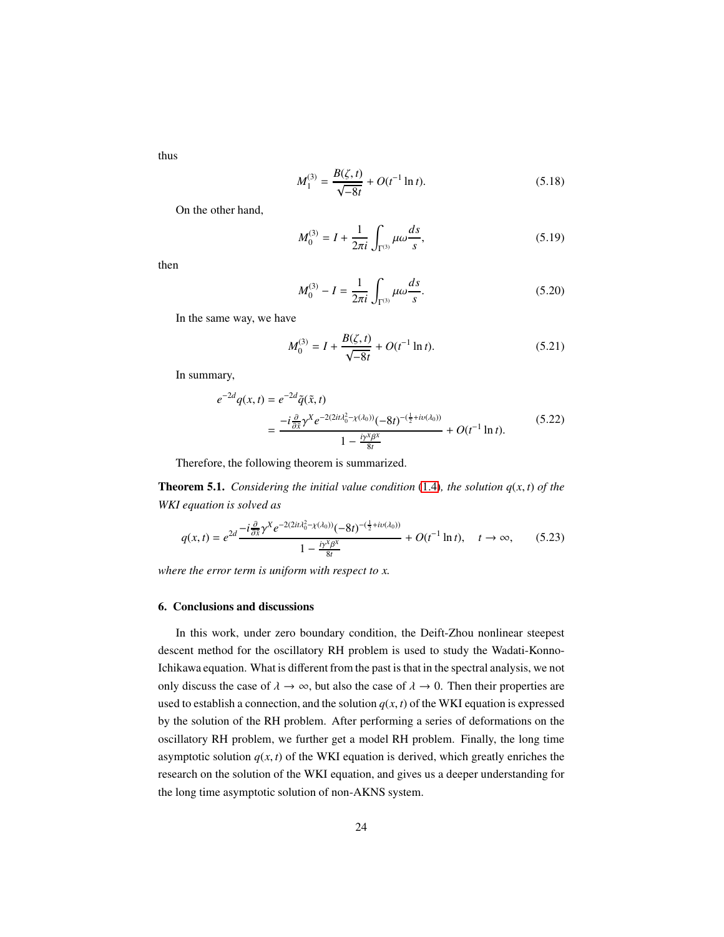thus

$$
M_1^{(3)} = \frac{B(\zeta, t)}{\sqrt{-8t}} + O(t^{-1} \ln t). \tag{5.18}
$$

On the other hand,

$$
M_0^{(3)} = I + \frac{1}{2\pi i} \int_{\Gamma^{(3)}} \mu \omega \frac{ds}{s},
$$
 (5.19)

then

$$
M_0^{(3)} - I = \frac{1}{2\pi i} \int_{\Gamma^{(3)}} \mu \omega \frac{ds}{s}.
$$
 (5.20)

In the same way, we have

$$
M_0^{(3)} = I + \frac{B(\zeta, t)}{\sqrt{-8t}} + O(t^{-1} \ln t). \tag{5.21}
$$

In summary,

$$
e^{-2d}q(x,t) = e^{-2d}\tilde{q}(\tilde{x},t)
$$
  
= 
$$
\frac{-i\frac{\partial}{\partial \tilde{x}}\gamma^{X}e^{-2(2it\lambda_{0}^{2}-\chi(\lambda_{0}))}(-8t)^{-(\frac{1}{2}+iv(\lambda_{0}))}}{1-\frac{iy^{X}\beta^{X}}{8t}} + O(t^{-1}\ln t).
$$
 (5.22)

Therefore, the following theorem is summarized.

**Theorem 5.1.** *Considering the initial value condition* [\(1.4\)](#page-2-0)*, the solution*  $q(x, t)$  *of the WKI equation is solved as*

$$
q(x,t) = e^{2d} \frac{-i \frac{\partial}{\partial \tilde{x}} \gamma^X e^{-2(2it\lambda_0^2 - \chi(\lambda_0))} (-8t)^{-(\frac{1}{2} + iv(\lambda_0))}}{1 - \frac{iy^X \beta^X}{8t}} + O(t^{-1} \ln t), \quad t \to \infty,
$$
 (5.23)

<span id="page-23-0"></span>*where the error term is uniform with respect to x.*

## 6. Conclusions and discussions

In this work, under zero boundary condition, the Deift-Zhou nonlinear steepest descent method for the oscillatory RH problem is used to study the Wadati-Konno-Ichikawa equation. What is different from the past is that in the spectral analysis, we not only discuss the case of  $\lambda \to \infty$ , but also the case of  $\lambda \to 0$ . Then their properties are used to establish a connection, and the solution  $q(x, t)$  of the WKI equation is expressed by the solution of the RH problem. After performing a series of deformations on the oscillatory RH problem, we further get a model RH problem. Finally, the long time asymptotic solution  $q(x, t)$  of the WKI equation is derived, which greatly enriches the research on the solution of the WKI equation, and gives us a deeper understanding for the long time asymptotic solution of non-AKNS system.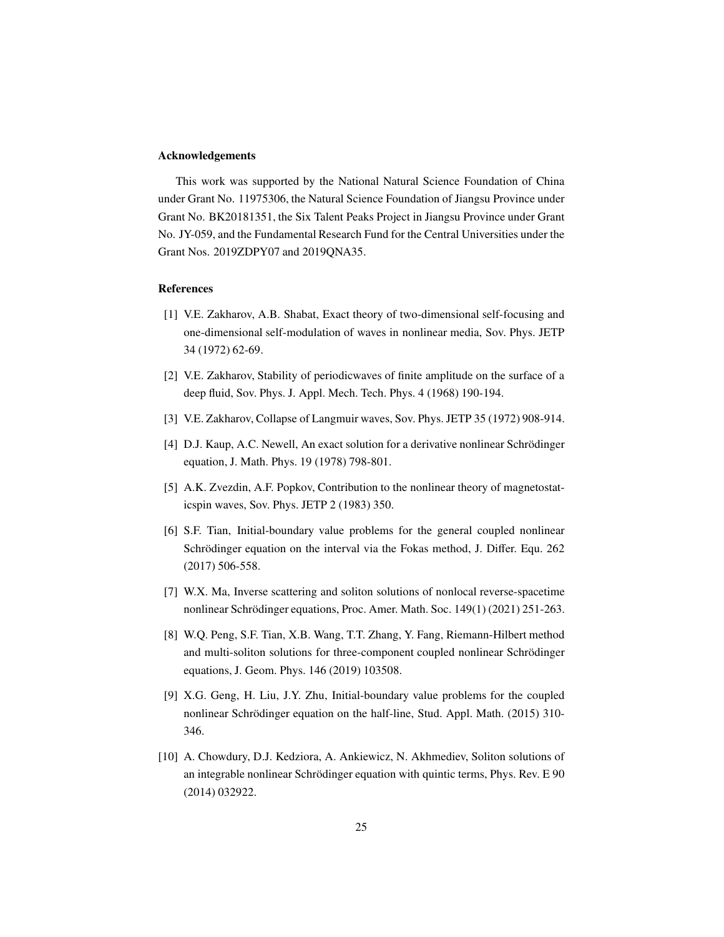### Acknowledgements

This work was supported by the National Natural Science Foundation of China under Grant No. 11975306, the Natural Science Foundation of Jiangsu Province under Grant No. BK20181351, the Six Talent Peaks Project in Jiangsu Province under Grant No. JY-059, and the Fundamental Research Fund for the Central Universities under the Grant Nos. 2019ZDPY07 and 2019QNA35.

### References

- <span id="page-24-0"></span>[1] V.E. Zakharov, A.B. Shabat, Exact theory of two-dimensional self-focusing and one-dimensional self-modulation of waves in nonlinear media, Sov. Phys. JETP 34 (1972) 62-69.
- [2] V.E. Zakharov, Stability of periodicwaves of finite amplitude on the surface of a deep fluid, Sov. Phys. J. Appl. Mech. Tech. Phys. 4 (1968) 190-194.
- [3] V.E. Zakharov, Collapse of Langmuir waves, Sov. Phys. JETP 35 (1972) 908-914.
- [4] D.J. Kaup, A.C. Newell, An exact solution for a derivative nonlinear Schrödinger equation, J. Math. Phys. 19 (1978) 798-801.
- [5] A.K. Zvezdin, A.F. Popkov, Contribution to the nonlinear theory of magnetostaticspin waves, Sov. Phys. JETP 2 (1983) 350.
- [6] S.F. Tian, Initial-boundary value problems for the general coupled nonlinear Schrödinger equation on the interval via the Fokas method, J. Differ. Equ. 262 (2017) 506-558.
- [7] W.X. Ma, Inverse scattering and soliton solutions of nonlocal reverse-spacetime nonlinear Schrödinger equations, Proc. Amer. Math. Soc. 149(1) (2021) 251-263.
- [8] W.Q. Peng, S.F. Tian, X.B. Wang, T.T. Zhang, Y. Fang, Riemann-Hilbert method and multi-soliton solutions for three-component coupled nonlinear Schrödinger equations, J. Geom. Phys. 146 (2019) 103508.
- [9] X.G. Geng, H. Liu, J.Y. Zhu, Initial-boundary value problems for the coupled nonlinear Schrödinger equation on the half-line, Stud. Appl. Math. (2015) 310-346.
- [10] A. Chowdury, D.J. Kedziora, A. Ankiewicz, N. Akhmediev, Soliton solutions of an integrable nonlinear Schrödinger equation with quintic terms, Phys. Rev. E 90 (2014) 032922.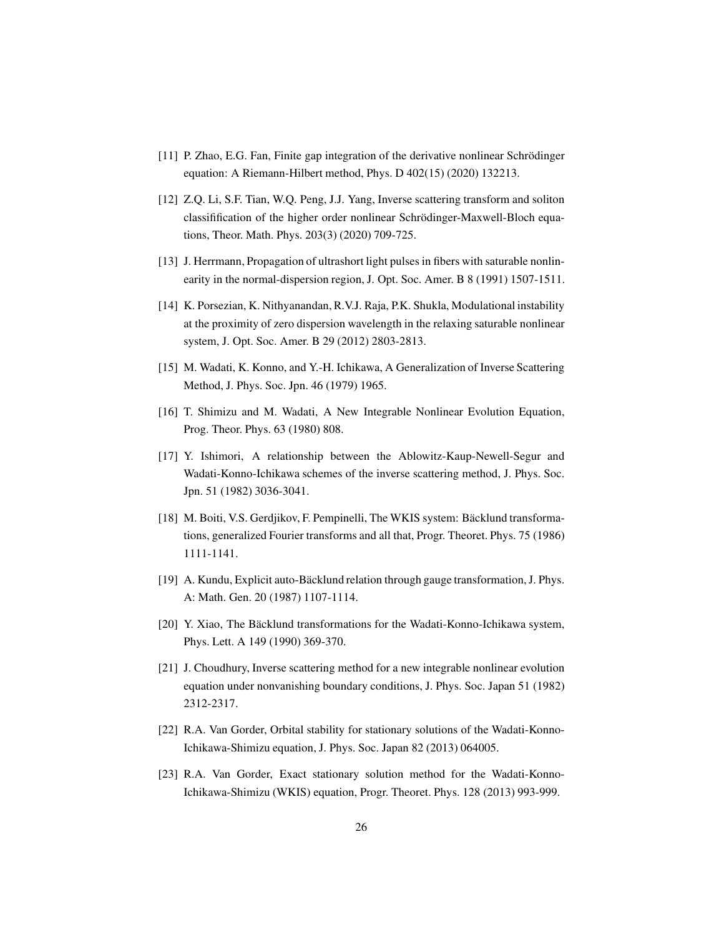- [11] P. Zhao, E.G. Fan, Finite gap integration of the derivative nonlinear Schrödinger equation: A Riemann-Hilbert method, Phys. D 402(15) (2020) 132213.
- <span id="page-25-0"></span>[12] Z.Q. Li, S.F. Tian, W.Q. Peng, J.J. Yang, Inverse scattering transform and soliton classifification of the higher order nonlinear Schrödinger-Maxwell-Bloch equations, Theor. Math. Phys. 203(3) (2020) 709-725.
- <span id="page-25-1"></span>[13] J. Herrmann, Propagation of ultrashort light pulses in fibers with saturable nonlinearity in the normal-dispersion region, J. Opt. Soc. Amer. B 8 (1991) 1507-1511.
- <span id="page-25-2"></span>[14] K. Porsezian, K. Nithyanandan, R.V.J. Raja, P.K. Shukla, Modulational instability at the proximity of zero dispersion wavelength in the relaxing saturable nonlinear system, J. Opt. Soc. Amer. B 29 (2012) 2803-2813.
- <span id="page-25-3"></span>[15] M. Wadati, K. Konno, and Y.-H. Ichikawa, A Generalization of Inverse Scattering Method, J. Phys. Soc. Jpn. 46 (1979) 1965.
- <span id="page-25-4"></span>[16] T. Shimizu and M. Wadati, A New Integrable Nonlinear Evolution Equation, Prog. Theor. Phys. 63 (1980) 808.
- <span id="page-25-5"></span>[17] Y. Ishimori, A relationship between the Ablowitz-Kaup-Newell-Segur and Wadati-Konno-Ichikawa schemes of the inverse scattering method, J. Phys. Soc. Jpn. 51 (1982) 3036-3041.
- <span id="page-25-6"></span>[18] M. Boiti, V.S. Gerdjikov, F. Pempinelli, The WKIS system: Bäcklund transformations, generalized Fourier transforms and all that, Progr. Theoret. Phys. 75 (1986) 1111-1141.
- [19] A. Kundu, Explicit auto-Bäcklund relation through gauge transformation, J. Phys. A: Math. Gen. 20 (1987) 1107-1114.
- <span id="page-25-7"></span>[20] Y. Xiao, The Bäcklund transformations for the Wadati-Konno-Ichikawa system, Phys. Lett. A 149 (1990) 369-370.
- <span id="page-25-8"></span>[21] J. Choudhury, Inverse scattering method for a new integrable nonlinear evolution equation under nonvanishing boundary conditions, J. Phys. Soc. Japan 51 (1982) 2312-2317.
- <span id="page-25-9"></span>[22] R.A. Van Gorder, Orbital stability for stationary solutions of the Wadati-Konno-Ichikawa-Shimizu equation, J. Phys. Soc. Japan 82 (2013) 064005.
- <span id="page-25-10"></span>[23] R.A. Van Gorder, Exact stationary solution method for the Wadati-Konno-Ichikawa-Shimizu (WKIS) equation, Progr. Theoret. Phys. 128 (2013) 993-999.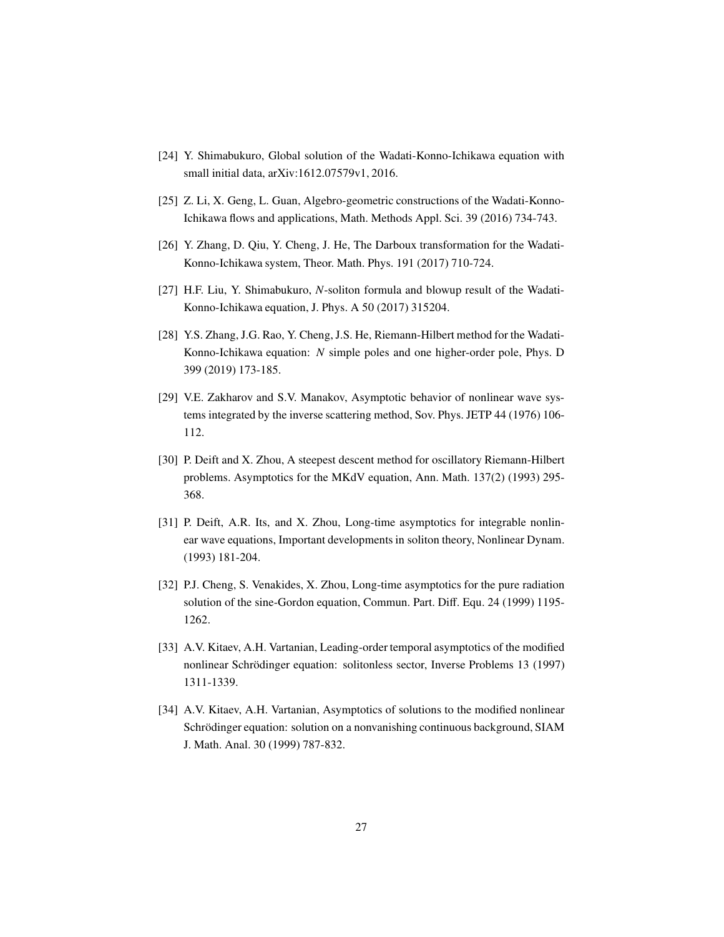- <span id="page-26-0"></span>[24] Y. Shimabukuro, Global solution of the Wadati-Konno-Ichikawa equation with small initial data, arXiv:1612.07579v1, 2016.
- <span id="page-26-1"></span>[25] Z. Li, X. Geng, L. Guan, Algebro-geometric constructions of the Wadati-Konno-Ichikawa flows and applications, Math. Methods Appl. Sci. 39 (2016) 734-743.
- <span id="page-26-2"></span>[26] Y. Zhang, D. Qiu, Y. Cheng, J. He, The Darboux transformation for the Wadati-Konno-Ichikawa system, Theor. Math. Phys. 191 (2017) 710-724.
- <span id="page-26-3"></span>[27] H.F. Liu, Y. Shimabukuro, *N*-soliton formula and blowup result of the Wadati-Konno-Ichikawa equation, J. Phys. A 50 (2017) 315204.
- <span id="page-26-4"></span>[28] Y.S. Zhang, J.G. Rao, Y. Cheng, J.S. He, Riemann-Hilbert method for the Wadati-Konno-Ichikawa equation: *N* simple poles and one higher-order pole, Phys. D 399 (2019) 173-185.
- <span id="page-26-5"></span>[29] V.E. Zakharov and S.V. Manakov, Asymptotic behavior of nonlinear wave systems integrated by the inverse scattering method, Sov. Phys. JETP 44 (1976) 106- 112.
- <span id="page-26-6"></span>[30] P. Deift and X. Zhou, A steepest descent method for oscillatory Riemann-Hilbert problems. Asymptotics for the MKdV equation, Ann. Math. 137(2) (1993) 295- 368.
- <span id="page-26-7"></span>[31] P. Deift, A.R. Its, and X. Zhou, Long-time asymptotics for integrable nonlinear wave equations, Important developments in soliton theory, Nonlinear Dynam. (1993) 181-204.
- <span id="page-26-8"></span>[32] P.J. Cheng, S. Venakides, X. Zhou, Long-time asymptotics for the pure radiation solution of the sine-Gordon equation, Commun. Part. Diff. Equ. 24 (1999) 1195- 1262.
- <span id="page-26-9"></span>[33] A.V. Kitaev, A.H. Vartanian, Leading-order temporal asymptotics of the modified nonlinear Schrödinger equation: solitonless sector, Inverse Problems 13 (1997) 1311-1339.
- <span id="page-26-10"></span>[34] A.V. Kitaev, A.H. Vartanian, Asymptotics of solutions to the modified nonlinear Schrödinger equation: solution on a nonvanishing continuous background, SIAM J. Math. Anal. 30 (1999) 787-832.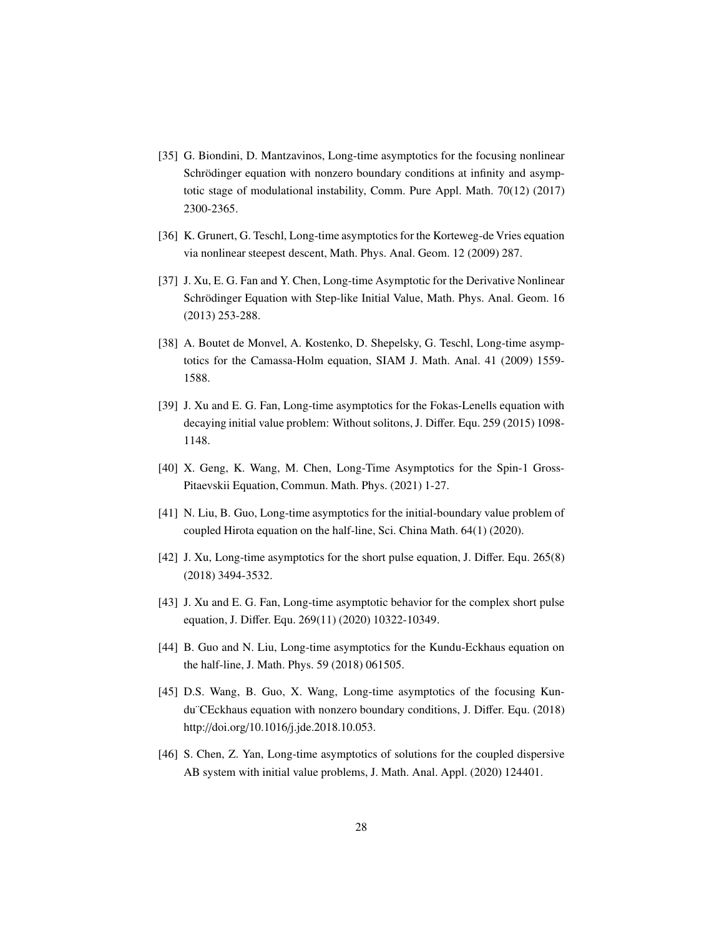- <span id="page-27-0"></span>[35] G. Biondini, D. Mantzavinos, Long-time asymptotics for the focusing nonlinear Schrödinger equation with nonzero boundary conditions at infinity and asymptotic stage of modulational instability, Comm. Pure Appl. Math. 70(12) (2017) 2300-2365.
- <span id="page-27-1"></span>[36] K. Grunert, G. Teschl, Long-time asymptotics for the Korteweg-de Vries equation via nonlinear steepest descent, Math. Phys. Anal. Geom. 12 (2009) 287.
- <span id="page-27-2"></span>[37] J. Xu, E. G. Fan and Y. Chen, Long-time Asymptotic for the Derivative Nonlinear Schrödinger Equation with Step-like Initial Value, Math. Phys. Anal. Geom. 16 (2013) 253-288.
- <span id="page-27-3"></span>[38] A. Boutet de Monvel, A. Kostenko, D. Shepelsky, G. Teschl, Long-time asymptotics for the Camassa-Holm equation, SIAM J. Math. Anal. 41 (2009) 1559- 1588.
- <span id="page-27-4"></span>[39] J. Xu and E. G. Fan, Long-time asymptotics for the Fokas-Lenells equation with decaying initial value problem: Without solitons, J. Differ. Equ. 259 (2015) 1098- 1148.
- <span id="page-27-5"></span>[40] X. Geng, K. Wang, M. Chen, Long-Time Asymptotics for the Spin-1 Gross-Pitaevskii Equation, Commun. Math. Phys. (2021) 1-27.
- <span id="page-27-6"></span>[41] N. Liu, B. Guo, Long-time asymptotics for the initial-boundary value problem of coupled Hirota equation on the half-line, Sci. China Math. 64(1) (2020).
- <span id="page-27-7"></span>[42] J. Xu, Long-time asymptotics for the short pulse equation, J. Differ. Equ. 265(8) (2018) 3494-3532.
- <span id="page-27-8"></span>[43] J. Xu and E. G. Fan, Long-time asymptotic behavior for the complex short pulse equation, J. Differ. Equ. 269(11) (2020) 10322-10349.
- <span id="page-27-9"></span>[44] B. Guo and N. Liu, Long-time asymptotics for the Kundu-Eckhaus equation on the half-line, J. Math. Phys. 59 (2018) 061505.
- <span id="page-27-10"></span>[45] D.S. Wang, B. Guo, X. Wang, Long-time asymptotics of the focusing Kundu¨CEckhaus equation with nonzero boundary conditions, J. Differ. Equ. (2018) http://doi.org/10.1016/j.jde.2018.10.053.
- <span id="page-27-11"></span>[46] S. Chen, Z. Yan, Long-time asymptotics of solutions for the coupled dispersive AB system with initial value problems, J. Math. Anal. Appl. (2020) 124401.